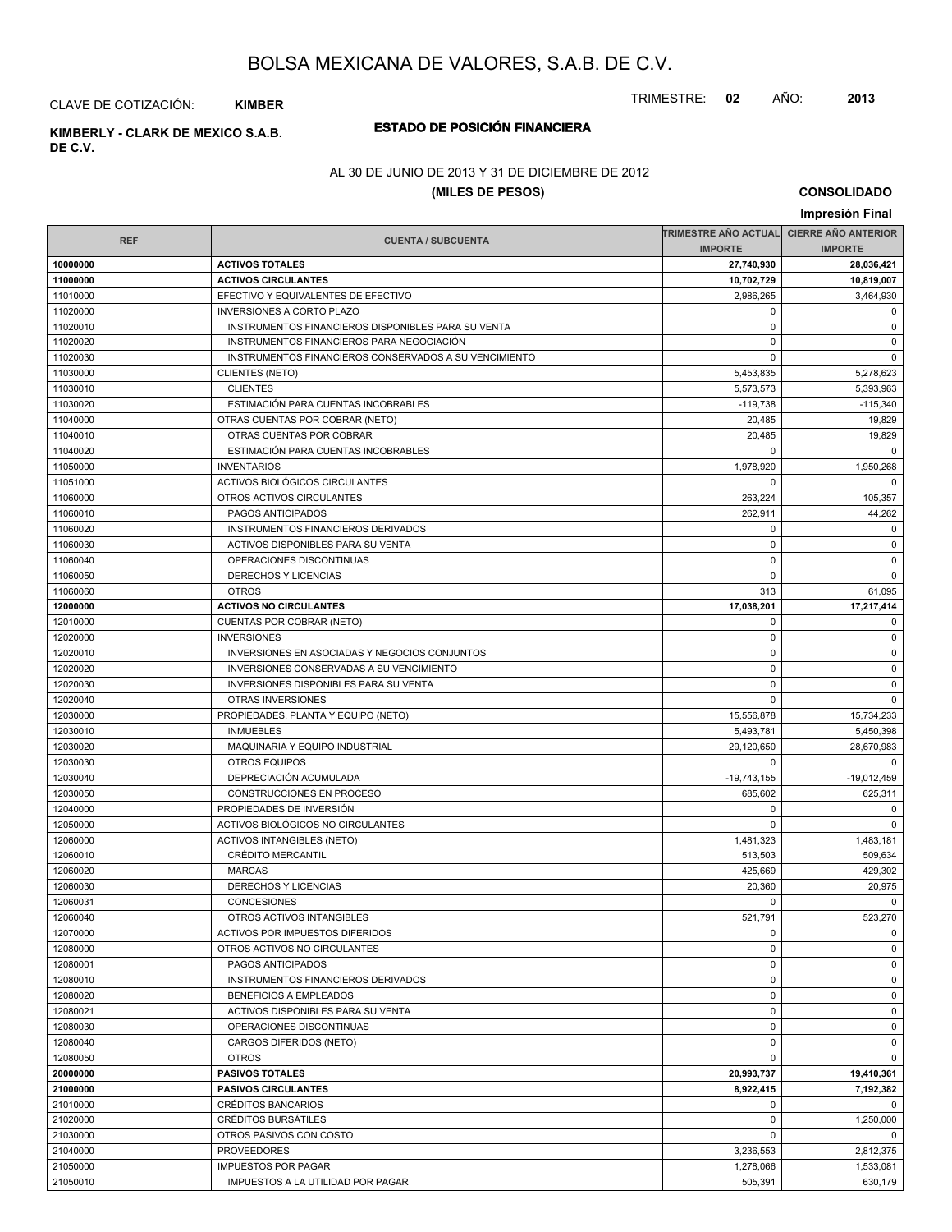TRIMESTRE: **02** AÑO: **2013**

CLAVE DE COTIZACIÓN: **KIMBER**

**ESTADO DE POSICIÓN FINANCIERA KIMBERLY - CLARK DE MEXICO S.A.B. DE C.V.**

### AL 30 DE JUNIO DE 2013 Y 31 DE DICIEMBRE DE 2012

### **(MILES DE PESOS)**

**CONSOLIDADO**

|            |                                                       |                                          | Impresión Final |
|------------|-------------------------------------------------------|------------------------------------------|-----------------|
|            |                                                       | TRIMESTRE AÑO ACTUAL CIERRE AÑO ANTERIOR |                 |
| <b>REF</b> | <b>CUENTA / SUBCUENTA</b>                             | <b>IMPORTE</b>                           | <b>IMPORTE</b>  |
| 10000000   | <b>ACTIVOS TOTALES</b>                                | 27,740,930                               | 28,036,421      |
| 11000000   | <b>ACTIVOS CIRCULANTES</b>                            | 10,702,729                               | 10,819,007      |
| 11010000   | EFECTIVO Y EQUIVALENTES DE EFECTIVO                   | 2.986.265                                | 3,464,930       |
| 11020000   | <b>INVERSIONES A CORTO PLAZO</b>                      | $\mathbf 0$                              | 0               |
| 11020010   | INSTRUMENTOS FINANCIEROS DISPONIBLES PARA SU VENTA    | $\mathbf 0$                              | $\mathbf 0$     |
| 11020020   | INSTRUMENTOS FINANCIEROS PARA NEGOCIACIÓN             | $\mathbf 0$                              | $\mathbf 0$     |
| 11020030   | INSTRUMENTOS FINANCIEROS CONSERVADOS A SU VENCIMIENTO | $\mathbf 0$                              | $\mathbf 0$     |
| 11030000   | <b>CLIENTES (NETO)</b>                                | 5,453,835                                | 5,278,623       |
| 11030010   | <b>CLIENTES</b>                                       | 5,573,573                                | 5,393,963       |
| 11030020   | ESTIMACIÓN PARA CUENTAS INCOBRABLES                   | $-119,738$                               | $-115,340$      |
| 11040000   | OTRAS CUENTAS POR COBRAR (NETO)                       | 20,485                                   | 19,829          |
| 11040010   | OTRAS CUENTAS POR COBRAR                              | 20,485                                   | 19,829          |
| 11040020   | ESTIMACIÓN PARA CUENTAS INCOBRABLES                   | $\mathbf 0$                              | $\Omega$        |
| 11050000   | <b>INVENTARIOS</b>                                    | 1,978,920                                | 1,950,268       |
| 11051000   | ACTIVOS BIOLÓGICOS CIRCULANTES                        | $\mathbf 0$                              | $\Omega$        |
| 11060000   | OTROS ACTIVOS CIRCULANTES                             | 263,224                                  | 105,357         |
| 11060010   | PAGOS ANTICIPADOS                                     | 262,911                                  | 44,262          |
| 11060020   | INSTRUMENTOS FINANCIEROS DERIVADOS                    | $\mathbf 0$                              | $\mathbf 0$     |
| 11060030   | ACTIVOS DISPONIBLES PARA SU VENTA                     | $\mathbf 0$                              | $\mathbf 0$     |
| 11060040   | OPERACIONES DISCONTINUAS                              | $\mathbf 0$                              | $\mathbf 0$     |
| 11060050   | DERECHOS Y LICENCIAS                                  | $\mathbf 0$                              | $\mathbf 0$     |
| 11060060   | <b>OTROS</b>                                          | 313                                      | 61,095          |
| 12000000   | <b>ACTIVOS NO CIRCULANTES</b>                         | 17,038,201                               | 17,217,414      |
| 12010000   | CUENTAS POR COBRAR (NETO)                             | $\mathbf 0$                              | $\mathbf 0$     |
| 12020000   | <b>INVERSIONES</b>                                    | $\mathbf 0$                              | $\mathbf 0$     |
| 12020010   | INVERSIONES EN ASOCIADAS Y NEGOCIOS CONJUNTOS         | $\mathbf 0$                              | $\mathbf 0$     |
| 12020020   | INVERSIONES CONSERVADAS A SU VENCIMIENTO              | $\mathbf 0$                              | $\mathbf 0$     |
| 12020030   | <b>INVERSIONES DISPONIBLES PARA SU VENTA</b>          | $\mathbf 0$                              | $\mathbf 0$     |
| 12020040   | OTRAS INVERSIONES                                     | $\mathbf 0$                              | $\mathbf 0$     |
| 12030000   | PROPIEDADES, PLANTA Y EQUIPO (NETO)                   | 15,556,878                               | 15,734,233      |
| 12030010   | <b>INMUEBLES</b>                                      | 5,493,781                                | 5,450,398       |
| 12030020   | MAQUINARIA Y EQUIPO INDUSTRIAL                        | 29,120,650                               | 28,670,983      |
| 12030030   | <b>OTROS EQUIPOS</b>                                  | $\mathbf 0$                              | 0               |
| 12030040   | DEPRECIACIÓN ACUMULADA                                | $-19,743,155$                            | $-19,012,459$   |
| 12030050   | CONSTRUCCIONES EN PROCESO                             | 685,602                                  | 625,311         |
| 12040000   | PROPIEDADES DE INVERSIÓN                              | $\mathbf 0$                              | 0               |
| 12050000   | ACTIVOS BIOLÓGICOS NO CIRCULANTES                     | $\mathbf 0$                              | $\mathbf 0$     |
| 12060000   | <b>ACTIVOS INTANGIBLES (NETO)</b>                     | 1,481,323                                | 1,483,181       |
| 12060010   | CRÉDITO MERCANTIL                                     | 513,503                                  | 509,634         |
| 12060020   | <b>MARCAS</b>                                         | 425,669                                  | 429,302         |
| 12060030   | <b>DERECHOS Y LICENCIAS</b>                           | 20,360                                   | 20,975          |
| 12060031   | CONCESIONES                                           | 0                                        | $\Omega$        |
| 12060040   | OTROS ACTIVOS INTANGIBLES                             | 521,791                                  | 523,270         |
| 12070000   | ACTIVOS POR IMPUESTOS DIFERIDOS                       | 0                                        | 0               |
| 12080000   | OTROS ACTIVOS NO CIRCULANTES                          | $\mathbf 0$                              | $\mathbf 0$     |
| 12080001   | PAGOS ANTICIPADOS                                     | 0                                        | $\mathbf 0$     |
| 12080010   | INSTRUMENTOS FINANCIEROS DERIVADOS                    | $\mathbf 0$                              | $\mathbf 0$     |
| 12080020   | <b>BENEFICIOS A EMPLEADOS</b>                         | $\mathbf 0$                              | 0               |
| 12080021   | ACTIVOS DISPONIBLES PARA SU VENTA                     | $\mathbf 0$                              | $\mathbf 0$     |
| 12080030   | OPERACIONES DISCONTINUAS                              | $\mathbf 0$                              | $\mathbf 0$     |
| 12080040   | CARGOS DIFERIDOS (NETO)                               | $\mathbf 0$                              | $\mathbf 0$     |
| 12080050   | <b>OTROS</b>                                          | 0                                        | $\mathbf 0$     |
| 20000000   | <b>PASIVOS TOTALES</b>                                | 20,993,737                               | 19,410,361      |
| 21000000   | <b>PASIVOS CIRCULANTES</b>                            | 8,922,415                                | 7,192,382       |
| 21010000   | CRÉDITOS BANCARIOS                                    | 0                                        | $\Omega$        |
| 21020000   | CRÉDITOS BURSÁTILES                                   | $\mathbf 0$                              | 1,250,000       |
| 21030000   | OTROS PASIVOS CON COSTO                               | $\mathbf 0$                              | 0               |
| 21040000   | <b>PROVEEDORES</b>                                    | 3,236,553                                | 2,812,375       |
| 21050000   | <b>IMPUESTOS POR PAGAR</b>                            | 1,278,066                                | 1,533,081       |
| 21050010   | IMPUESTOS A LA UTILIDAD POR PAGAR                     | 505,391                                  | 630,179         |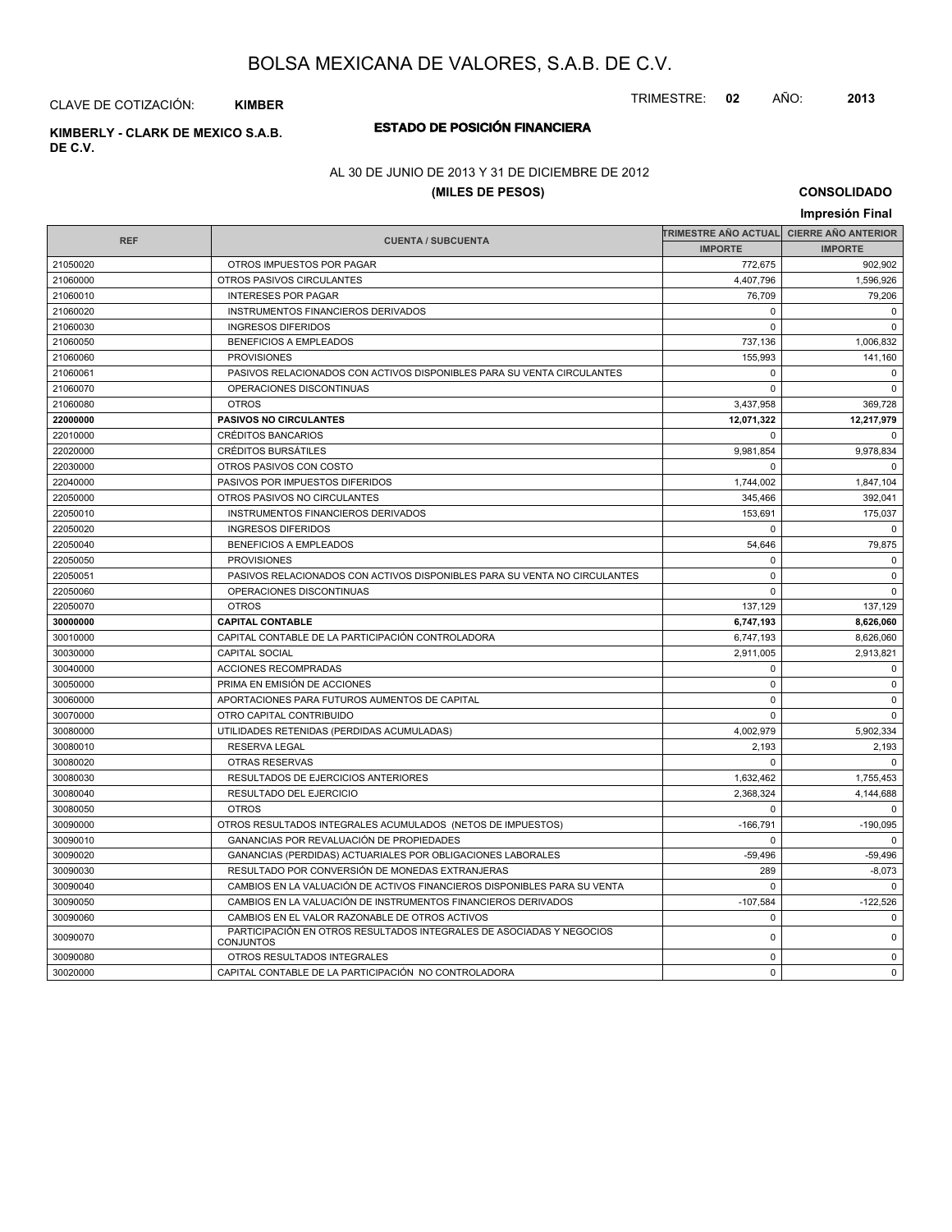TRIMESTRE: **02** AÑO: **2013**

CLAVE DE COTIZACIÓN: **KIMBER**

**ESTADO DE POSICIÓN FINANCIERA KIMBERLY - CLARK DE MEXICO S.A.B. DE C.V.**

### AL 30 DE JUNIO DE 2013 Y 31 DE DICIEMBRE DE 2012

### **(MILES DE PESOS)**

**CONSOLIDADO**

|            |                                                                                          |                      | Impresión Final            |  |
|------------|------------------------------------------------------------------------------------------|----------------------|----------------------------|--|
|            |                                                                                          | TRIMESTRE AÑO ACTUAL | <b>CIERRE AÑO ANTERIOR</b> |  |
| <b>REF</b> | <b>CUENTA / SUBCUENTA</b>                                                                | <b>IMPORTE</b>       | <b>IMPORTE</b>             |  |
| 21050020   | OTROS IMPUESTOS POR PAGAR                                                                | 772,675              | 902,902                    |  |
| 21060000   | OTROS PASIVOS CIRCULANTES                                                                | 4,407,796            | 1,596,926                  |  |
| 21060010   | <b>INTERESES POR PAGAR</b>                                                               | 76,709               | 79,206                     |  |
| 21060020   | <b>INSTRUMENTOS FINANCIEROS DERIVADOS</b>                                                | $\Omega$             | $\Omega$                   |  |
| 21060030   | <b>INGRESOS DIFERIDOS</b>                                                                | $\Omega$             | $\Omega$                   |  |
| 21060050   | <b>BENEFICIOS A EMPLEADOS</b>                                                            | 737,136              | 1,006,832                  |  |
| 21060060   | <b>PROVISIONES</b>                                                                       | 155,993              | 141,160                    |  |
| 21060061   | PASIVOS RELACIONADOS CON ACTIVOS DISPONIBLES PARA SU VENTA CIRCULANTES                   | $\mathbf 0$          | $\mathbf 0$                |  |
| 21060070   | OPERACIONES DISCONTINUAS                                                                 | $\Omega$             | $\mathbf 0$                |  |
| 21060080   | <b>OTROS</b>                                                                             | 3,437,958            | 369,728                    |  |
| 22000000   | <b>PASIVOS NO CIRCULANTES</b>                                                            | 12,071,322           | 12,217,979                 |  |
| 22010000   | <b>CRÉDITOS BANCARIOS</b>                                                                | $\mathbf 0$          | $\Omega$                   |  |
| 22020000   | <b>CRÉDITOS BURSÁTILES</b>                                                               | 9,981,854            | 9,978,834                  |  |
| 22030000   | OTROS PASIVOS CON COSTO                                                                  | $\Omega$             | $\Omega$                   |  |
| 22040000   | PASIVOS POR IMPUESTOS DIFERIDOS                                                          | 1,744,002            | 1,847,104                  |  |
| 22050000   | OTROS PASIVOS NO CIRCULANTES                                                             | 345,466              | 392,041                    |  |
| 22050010   | INSTRUMENTOS FINANCIEROS DERIVADOS                                                       | 153,691              | 175,037                    |  |
| 22050020   | <b>INGRESOS DIFERIDOS</b>                                                                | $\mathbf 0$          | $\Omega$                   |  |
| 22050040   | <b>BENEFICIOS A EMPLEADOS</b>                                                            | 54,646               | 79,875                     |  |
| 22050050   | <b>PROVISIONES</b>                                                                       | $\Omega$             | $\Omega$                   |  |
| 22050051   | PASIVOS RELACIONADOS CON ACTIVOS DISPONIBLES PARA SU VENTA NO CIRCULANTES                | $\mathbf 0$          | $\pmb{0}$                  |  |
| 22050060   | OPERACIONES DISCONTINUAS                                                                 | $\Omega$             | $\Omega$                   |  |
| 22050070   | <b>OTROS</b>                                                                             | 137,129              | 137,129                    |  |
| 30000000   | <b>CAPITAL CONTABLE</b>                                                                  | 6,747,193            | 8,626,060                  |  |
| 30010000   | CAPITAL CONTABLE DE LA PARTICIPACIÓN CONTROLADORA                                        | 6,747,193            | 8,626,060                  |  |
| 30030000   | <b>CAPITAL SOCIAL</b>                                                                    | 2,911,005            | 2,913,821                  |  |
| 30040000   | ACCIONES RECOMPRADAS                                                                     | $\mathbf 0$          | $\mathbf 0$                |  |
| 30050000   | PRIMA EN EMISIÓN DE ACCIONES                                                             | $\Omega$             | $\Omega$                   |  |
| 30060000   | APORTACIONES PARA FUTUROS AUMENTOS DE CAPITAL                                            | $\mathbf 0$          | $\mathbf 0$                |  |
| 30070000   | OTRO CAPITAL CONTRIBUIDO                                                                 | $\mathbf 0$          | $\mathbf 0$                |  |
| 30080000   | UTILIDADES RETENIDAS (PERDIDAS ACUMULADAS)                                               | 4,002,979            | 5,902,334                  |  |
| 30080010   | <b>RESERVA LEGAL</b>                                                                     | 2,193                | 2,193                      |  |
| 30080020   | <b>OTRAS RESERVAS</b>                                                                    | $\mathbf 0$          | $\Omega$                   |  |
| 30080030   | RESULTADOS DE EJERCICIOS ANTERIORES                                                      | 1,632,462            | 1,755,453                  |  |
| 30080040   | RESULTADO DEL EJERCICIO                                                                  | 2,368,324            | 4,144,688                  |  |
| 30080050   | <b>OTROS</b>                                                                             | $\mathbf 0$          | $\mathbf 0$                |  |
| 30090000   | OTROS RESULTADOS INTEGRALES ACUMULADOS (NETOS DE IMPUESTOS)                              | $-166,791$           | $-190,095$                 |  |
| 30090010   | GANANCIAS POR REVALUACIÓN DE PROPIEDADES                                                 | $\mathbf 0$          | $\Omega$                   |  |
| 30090020   | GANANCIAS (PERDIDAS) ACTUARIALES POR OBLIGACIONES LABORALES                              | $-59,496$            | $-59,496$                  |  |
| 30090030   | RESULTADO POR CONVERSIÓN DE MONEDAS EXTRANJERAS                                          | 289                  | $-8,073$                   |  |
| 30090040   | CAMBIOS EN LA VALUACIÓN DE ACTIVOS FINANCIEROS DISPONIBLES PARA SU VENTA                 | $\Omega$             | $\Omega$                   |  |
| 30090050   | CAMBIOS EN LA VALUACIÓN DE INSTRUMENTOS FINANCIEROS DERIVADOS                            | $-107,584$           | $-122,526$                 |  |
| 30090060   | CAMBIOS EN EL VALOR RAZONABLE DE OTROS ACTIVOS                                           | $\Omega$             | $\mathbf 0$                |  |
| 30090070   | PARTICIPACIÓN EN OTROS RESULTADOS INTEGRALES DE ASOCIADAS Y NEGOCIOS<br><b>CONJUNTOS</b> | $\pmb{0}$            | $\pmb{0}$                  |  |
| 30090080   | OTROS RESULTADOS INTEGRALES                                                              | $\mathbf 0$          | $\Omega$                   |  |
| 30020000   | CAPITAL CONTABLE DE LA PARTICIPACIÓN NO CONTROLADORA                                     | $\mathbf 0$          | $\mathbf 0$                |  |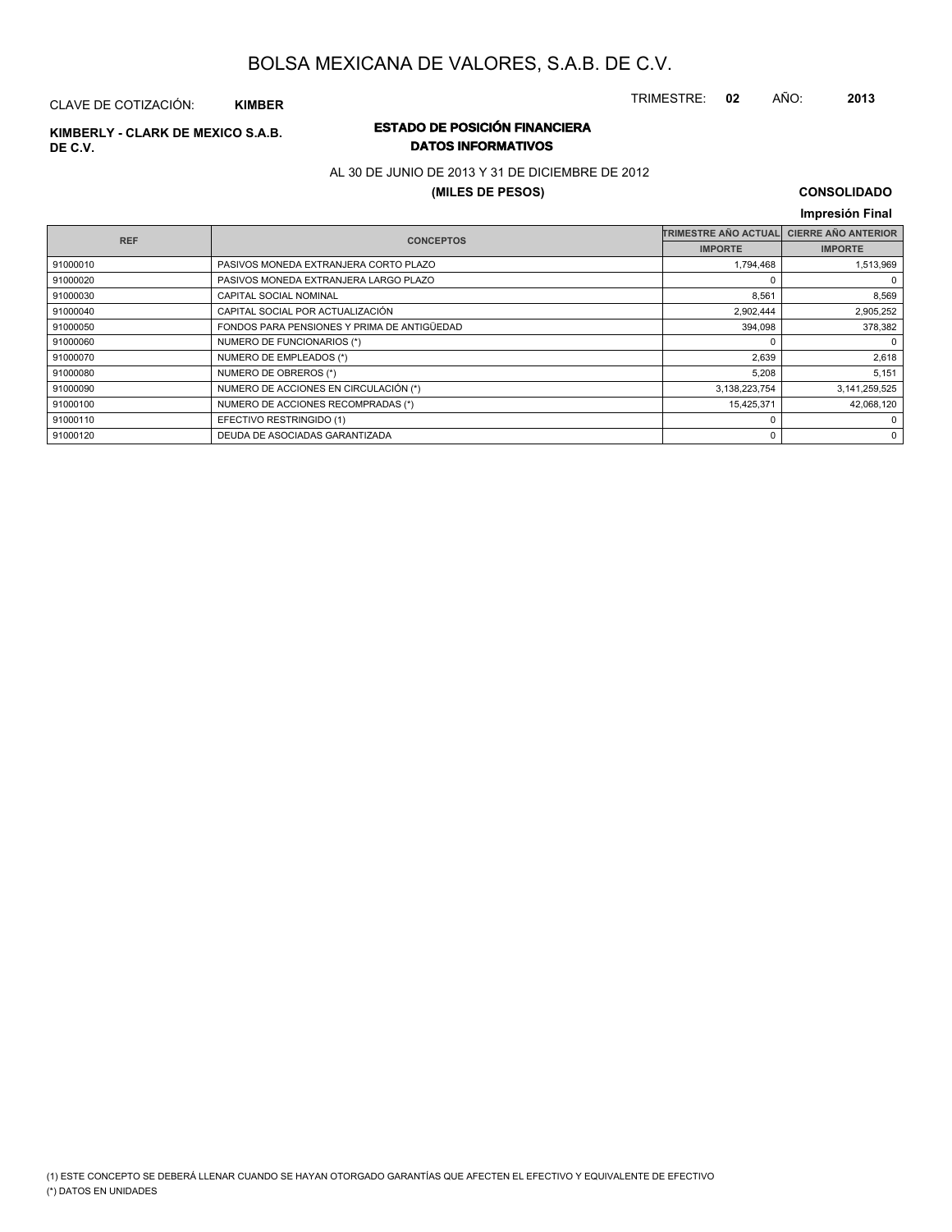TRIMESTRE: **02** AÑO: **2013**

#### CLAVE DE COTIZACIÓN: **KIMBER**

# **DE C.V.**

### **ESTADO DE POSICIÓN FINANCIERA KIMBERLY - CLARK DE MEXICO S.A.B. DATOS INFORMATIVOS**

AL 30 DE JUNIO DE 2013 Y 31 DE DICIEMBRE DE 2012

#### **(MILES DE PESOS)**

### **CONSOLIDADO**

#### **Impresión Final IMPORTE TRIMESTRE AÑO ACTUAL IMPORTE REF CIERRE AÑO ANTERIOR CUENTA / SUBCUENTA CONCEPTOS** 91000010 PASIVOS MONEDA EXTRANJERA CORTO PLAZO 1,794,468 1,513,969 1,513,969 91000020 PASIVOS MONEDA EXTRANJERA LARGO PLAZO 0 0 91000030 CAPITAL SOCIAL NOMINAL 8.569 8.569 8.569 91000040 CAPITAL SOCIAL POR ACTUALIZACIÓN 2,902,444 2,902,444 2,905,252 91000050 FONDOS PARA PENSIONES Y PRIMA DE ANTIGÜEDAD 394,098 378,382 91000060 NUMERO DE FUNCIONARIOS (\*) 0 0 91000070 NUMERO DE EMPLEADOS (\*) 2,639 2,639 2,618 91000080 NUMERO DE OBREROS (\*) 6,151 (\* 191000080 5,208 | 5,151 (\* 191000080 5,208 | 5,151 (\* 1910) 91000090 NUMERO DE ACCIONES EN CIRCULACIÓN (\*) 3,138,223,754 3,138,223,754 3,141,259,525 91000100 NUMERO DE ACCIONES RECOMPRADAS (\*) 15,425,371 1668,120 91000110 EFECTIVO RESTRINGIDO (1) 0 0 91000120 DEUDA DE ASOCIADAS GARANTIZADA 0 0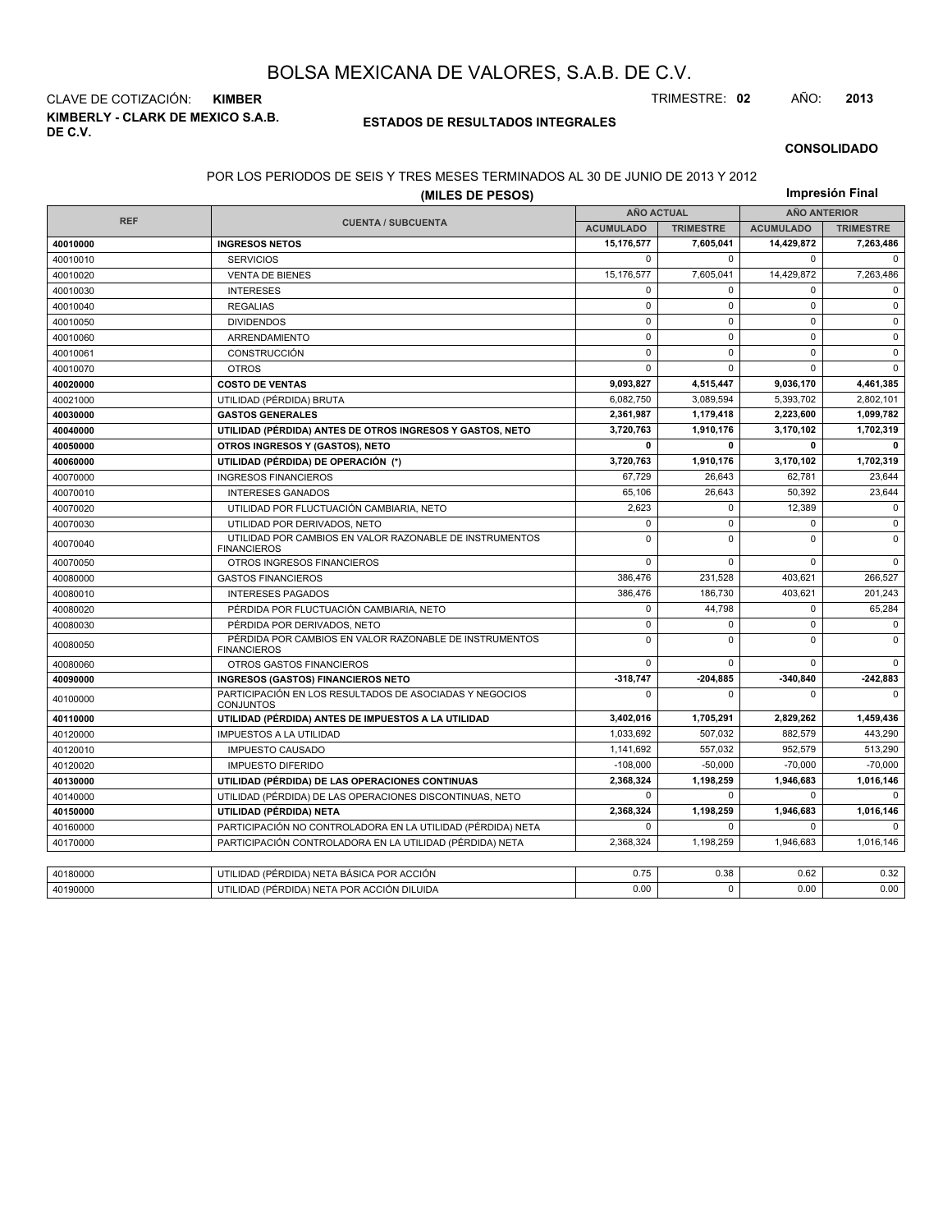**KIMBERLY - CLARK DE MEXICO S.A.B. DE C.V.** CLAVE DE COTIZACIÓN: **KIMBER** TRIMESTRE: **02** AÑO: **2013**

#### **ESTADOS DE RESULTADOS INTEGRALES**

#### **CONSOLIDADO**

#### POR LOS PERIODOS DE SEIS Y TRES MESES TERMINADOS AL 30 DE JUNIO DE 2013 Y 2012

|            | (MILES DE PESOS)                                                              |                   |                  | Impresión Final     |                  |  |
|------------|-------------------------------------------------------------------------------|-------------------|------------------|---------------------|------------------|--|
|            |                                                                               | <b>AÑO ACTUAL</b> |                  | <b>AÑO ANTERIOR</b> |                  |  |
| <b>REF</b> | <b>CUENTA / SUBCUENTA</b>                                                     | <b>ACUMULADO</b>  | <b>TRIMESTRE</b> | <b>ACUMULADO</b>    | <b>TRIMESTRE</b> |  |
| 40010000   | <b>INGRESOS NETOS</b>                                                         | 15,176,577        | 7,605,041        | 14,429,872          | 7,263,486        |  |
| 40010010   | <b>SERVICIOS</b>                                                              | $\mathbf 0$       | $\mathbf 0$      | $\mathbf 0$         | $\mathbf 0$      |  |
| 40010020   | <b>VENTA DE BIENES</b>                                                        | 15.176.577        | 7.605.041        | 14,429,872          | 7.263.486        |  |
| 40010030   | <b>INTERESES</b>                                                              | $\mathbf 0$       | 0                | $\mathbf 0$         | $\mathbf 0$      |  |
| 40010040   | <b>REGALIAS</b>                                                               | $\pmb{0}$         | $\pmb{0}$        | 0                   | $\mathbf 0$      |  |
| 40010050   | <b>DIVIDENDOS</b>                                                             | $\Omega$          | $\Omega$         | $\Omega$            | $\mathbf 0$      |  |
| 40010060   | ARRENDAMIENTO                                                                 | $\mathbf 0$       | 0                | $\mathbf 0$         | $\mathbf 0$      |  |
| 40010061   | CONSTRUCCIÓN                                                                  | $\mathbf 0$       | $\mathbf 0$      | $\mathbf 0$         | $\mathsf 0$      |  |
| 40010070   | <b>OTROS</b>                                                                  | $\mathbf 0$       | $\Omega$         | $\Omega$            | $\Omega$         |  |
| 40020000   | <b>COSTO DE VENTAS</b>                                                        | 9,093,827         | 4,515,447        | 9,036,170           | 4,461,385        |  |
| 40021000   | UTILIDAD (PÉRDIDA) BRUTA                                                      | 6.082.750         | 3.089.594        | 5,393,702           | 2.802.101        |  |
| 40030000   | <b>GASTOS GENERALES</b>                                                       | 2,361,987         | 1,179,418        | 2,223,600           | 1,099,782        |  |
| 40040000   | UTILIDAD (PÉRDIDA) ANTES DE OTROS INGRESOS Y GASTOS, NETO                     | 3,720,763         | 1,910,176        | 3,170,102           | 1,702,319        |  |
| 40050000   | OTROS INGRESOS Y (GASTOS), NETO                                               | $\mathbf{0}$      | $\mathbf{0}$     | 0                   | $\mathbf{0}$     |  |
| 40060000   | UTILIDAD (PÉRDIDA) DE OPERACIÓN (*)                                           | 3,720,763         | 1,910,176        | 3,170,102           | 1,702,319        |  |
| 40070000   | <b>INGRESOS FINANCIEROS</b>                                                   | 67,729            | 26,643           | 62,781              | 23,644           |  |
| 40070010   | <b>INTERESES GANADOS</b>                                                      | 65,106            | 26.643           | 50.392              | 23,644           |  |
| 40070020   | UTILIDAD POR FLUCTUACIÓN CAMBIARIA, NETO                                      | 2,623             | $\mathbf 0$      | 12,389              | $\mathbf 0$      |  |
| 40070030   | UTILIDAD POR DERIVADOS, NETO                                                  | $\Omega$          | $\Omega$         | $\Omega$            | $\Omega$         |  |
| 40070040   | UTILIDAD POR CAMBIOS EN VALOR RAZONABLE DE INSTRUMENTOS<br><b>FINANCIEROS</b> | $\mathbf 0$       | $\Omega$         | $\Omega$            | $\mathbf 0$      |  |
| 40070050   | OTROS INGRESOS FINANCIEROS                                                    | $\Omega$          | 0                | $\Omega$            | $\Omega$         |  |
| 40080000   | <b>GASTOS FINANCIEROS</b>                                                     | 386,476           | 231,528          | 403,621             | 266,527          |  |
| 40080010   | <b>INTERESES PAGADOS</b>                                                      | 386,476           | 186,730          | 403,621             | 201,243          |  |
| 40080020   | PÉRDIDA POR FLUCTUACIÓN CAMBIARIA, NETO                                       | 0                 | 44.798           | 0                   | 65,284           |  |
| 40080030   | PÉRDIDA POR DERIVADOS, NETO                                                   | $\mathbf 0$       | 0                | $\mathbf 0$         | $\mathsf 0$      |  |
| 40080050   | PÉRDIDA POR CAMBIOS EN VALOR RAZONABLE DE INSTRUMENTOS<br><b>FINANCIEROS</b>  | $\mathbf 0$       | $\Omega$         | $\Omega$            | $\mathbf 0$      |  |
| 40080060   | OTROS GASTOS FINANCIEROS                                                      | $\mathbf 0$       | 0                | $\mathbf 0$         | $\Omega$         |  |
| 40090000   | <b>INGRESOS (GASTOS) FINANCIEROS NETO</b>                                     | $-318,747$        | $-204,885$       | $-340,840$          | $-242,883$       |  |
| 40100000   | PARTICIPACIÓN EN LOS RESULTADOS DE ASOCIADAS Y NEGOCIOS<br><b>CONJUNTOS</b>   | $\Omega$          | $\Omega$         | $\Omega$            | $\Omega$         |  |
| 40110000   | UTILIDAD (PÉRDIDA) ANTES DE IMPUESTOS A LA UTILIDAD                           | 3,402,016         | 1,705,291        | 2,829,262           | 1,459,436        |  |
| 40120000   | <b>IMPUESTOS A LA UTILIDAD</b>                                                | 1,033,692         | 507,032          | 882,579             | 443,290          |  |
| 40120010   | <b>IMPUESTO CAUSADO</b>                                                       | 1,141,692         | 557,032          | 952,579             | 513,290          |  |
| 40120020   | <b>IMPUESTO DIFERIDO</b>                                                      | $-108.000$        | $-50.000$        | $-70,000$           | $-70,000$        |  |
| 40130000   | UTILIDAD (PÉRDIDA) DE LAS OPERACIONES CONTINUAS                               | 2,368,324         | 1,198,259        | 1,946,683           | 1,016,146        |  |
| 40140000   | UTILIDAD (PÉRDIDA) DE LAS OPERACIONES DISCONTINUAS, NETO                      | $\Omega$          | 0                | 0                   | $\Omega$         |  |
| 40150000   | UTILIDAD (PÉRDIDA) NETA                                                       | 2,368,324         | 1,198,259        | 1,946,683           | 1,016,146        |  |
| 40160000   | PARTICIPACIÓN NO CONTROLADORA EN LA UTILIDAD (PÉRDIDA) NETA                   | $\mathbf 0$       | 0                | 0                   | $\Omega$         |  |
| 40170000   | PARTICIPACIÓN CONTROLADORA EN LA UTILIDAD (PÉRDIDA) NETA                      | 2,368,324         | 1,198,259        | 1,946,683           | 1,016,146        |  |
|            |                                                                               |                   |                  |                     |                  |  |
| 40180000   | UTILIDAD (PÉRDIDA) NETA BÁSICA POR ACCIÓN                                     | 0.75              | 0.38             | 0.62                | 0.32             |  |
| 40190000   | UTILIDAD (PÉRDIDA) NETA POR ACCIÓN DILUIDA                                    | 0.00              | $\Omega$         | 0.00                | 0.00             |  |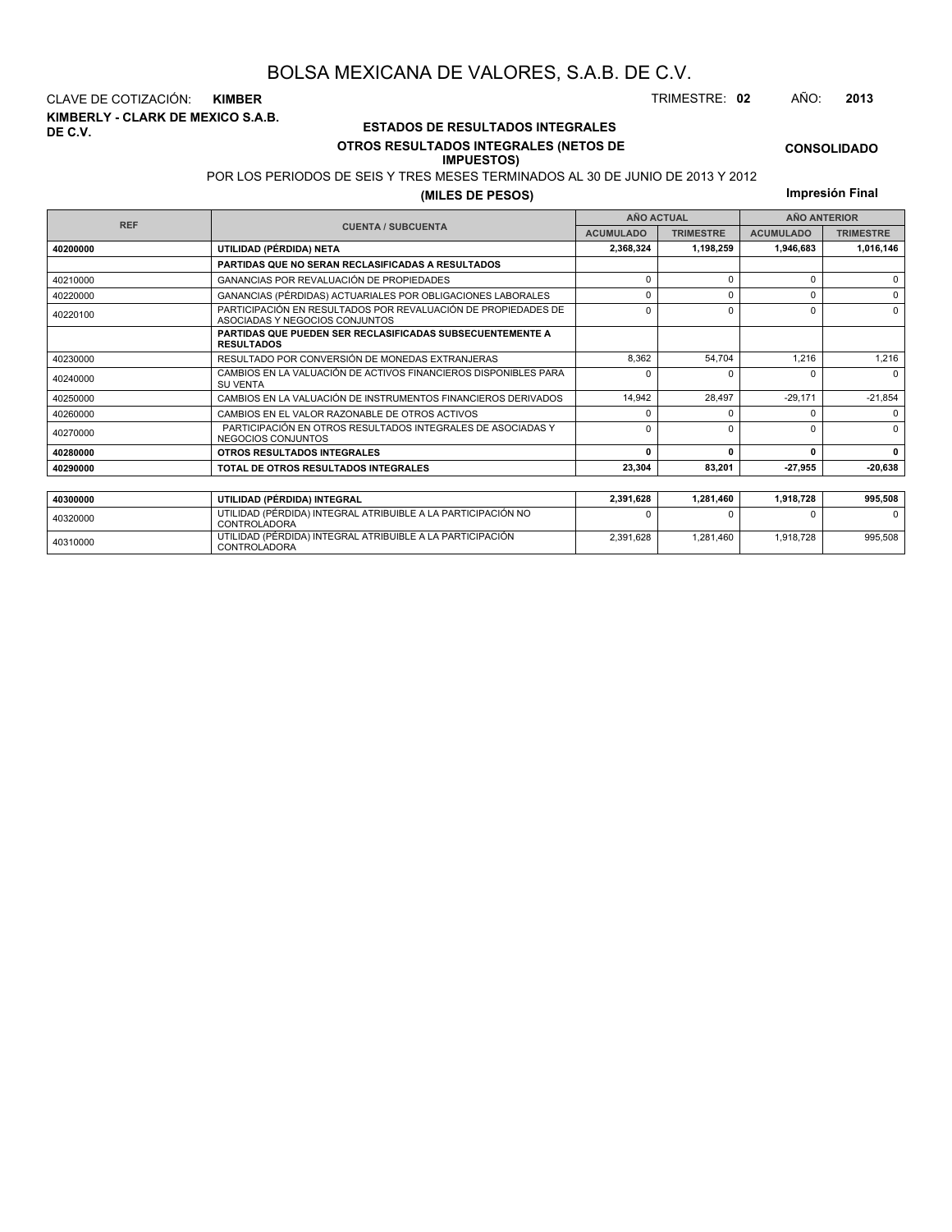**KIMBERLY - CLARK DE MEXICO S.A.B. DE C.V.** CLAVE DE COTIZACIÓN: **KIMBER** TRIMESTRE: **02** AÑO: **2013**

<sup>40310000</sup> UTILIDAD (PÉRDIDA) INTEGRAL ATRIBUIBLE A LA PARTICIPACIÓN CONTROLADORA

### **ESTADOS DE RESULTADOS INTEGRALES OTROS RESULTADOS INTEGRALES (NETOS DE**

#### **IMPUESTOS)**

POR LOS PERIODOS DE SEIS Y TRES MESES TERMINADOS AL 30 DE JUNIO DE 2013 Y 2012

**(MILES DE PESOS)**

**Impresión Final**

**CONSOLIDADO**

|            |                                                                                                 |                  | <b>AÑO ACTUAL</b> | <b>AÑO ANTERIOR</b> |                  |  |
|------------|-------------------------------------------------------------------------------------------------|------------------|-------------------|---------------------|------------------|--|
| <b>REF</b> | <b>CUENTA / SUBCUENTA</b>                                                                       | <b>ACUMULADO</b> | <b>TRIMESTRE</b>  | <b>ACUMULADO</b>    | <b>TRIMESTRE</b> |  |
| 40200000   | UTILIDAD (PÉRDIDA) NETA                                                                         | 2,368,324        | 1,198,259         | 1,946,683           | 1,016,146        |  |
|            | PARTIDAS QUE NO SERAN RECLASIFICADAS A RESULTADOS                                               |                  |                   |                     |                  |  |
| 40210000   | GANANCIAS POR REVALUACIÓN DE PROPIEDADES                                                        | $\Omega$         | n                 | 0                   | $\Omega$         |  |
| 40220000   | GANANCIAS (PÉRDIDAS) ACTUARIALES POR OBLIGACIONES LABORALES                                     | 0                | $\Omega$          |                     | $\Omega$         |  |
| 40220100   | PARTICIPACIÓN EN RESULTADOS POR REVALUACIÓN DE PROPIEDADES DE<br>ASOCIADAS Y NEGOCIOS CONJUNTOS | $\Omega$         | ŋ                 | O                   | $\Omega$         |  |
|            | <b>PARTIDAS QUE PUEDEN SER RECLASIFICADAS SUBSECUENTEMENTE A</b><br><b>RESULTADOS</b>           |                  |                   |                     |                  |  |
| 40230000   | RESULTADO POR CONVERSIÓN DE MONEDAS EXTRANJERAS                                                 | 8,362            | 54.704            | 1,216               | 1,216            |  |
| 40240000   | CAMBIOS EN LA VALUACIÓN DE ACTIVOS FINANCIEROS DISPONIBLES PARA<br><b>SU VENTA</b>              | <sup>0</sup>     | n                 |                     | $\Omega$         |  |
| 40250000   | CAMBIOS EN LA VALUACIÓN DE INSTRUMENTOS FINANCIEROS DERIVADOS                                   | 14.942           | 28.497            | $-29,171$           | $-21,854$        |  |
| 40260000   | CAMBIOS EN EL VALOR RAZONABLE DE OTROS ACTIVOS                                                  | <sup>0</sup>     |                   |                     | $\Omega$         |  |
| 40270000   | PARTICIPACIÓN EN OTROS RESULTADOS INTEGRALES DE ASOCIADAS Y<br>NEGOCIOS CONJUNTOS               | <sup>0</sup>     |                   |                     | $\Omega$         |  |
| 40280000   | OTROS RESULTADOS INTEGRALES                                                                     | 0                | $\mathbf{0}$      | $\Omega$            | $\Omega$         |  |
| 40290000   | TOTAL DE OTROS RESULTADOS INTEGRALES                                                            | 23,304           | 83,201            | $-27,955$           | $-20,638$        |  |
|            |                                                                                                 |                  |                   |                     |                  |  |
| 40300000   | UTILIDAD (PÉRDIDA) INTEGRAL                                                                     | 2,391,628        | 1,281,460         | 1,918,728           | 995,508          |  |
| 40320000   | UTILIDAD (PÉRDIDA) INTEGRAL ATRIBUIBLE A LA PARTICIPACIÓN NO<br><b>CONTROLADORA</b>             |                  |                   |                     | $\Omega$         |  |

2,391,628 1,281,460 1,918,728 995,508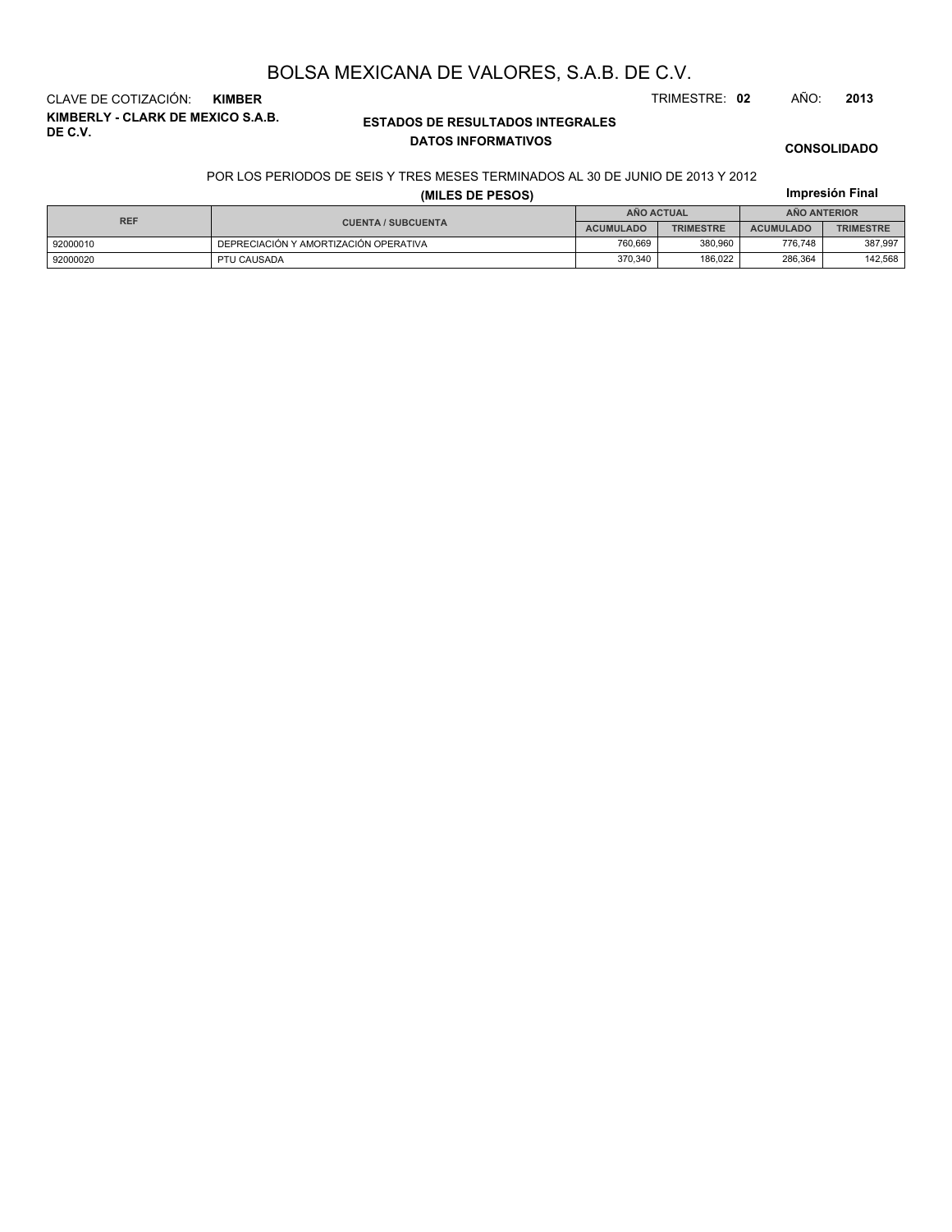**KIMBERLY - CLARK DE MEXICO S.A.B. DE C.V.** CLAVE DE COTIZACIÓN: **KIMBER** TRIMESTRE: **02** AÑO: **2013**

### **ESTADOS DE RESULTADOS INTEGRALES DATOS INFORMATIVOS**

**CONSOLIDADO**

**Impresión Final**

#### POR LOS PERIODOS DE SEIS Y TRES MESES TERMINADOS AL 30 DE JUNIO DE 2013 Y 2012

**(MILES DE PESOS)**

| <b>REF</b> |                                       | <b>ANO ACTUAL</b> |                  | <b>ANO ANTERIOR</b> |                  |  |
|------------|---------------------------------------|-------------------|------------------|---------------------|------------------|--|
|            | <b>CUENTA / SUBCUENTA</b>             | <b>ACUMULADO</b>  | <b>TRIMESTRE</b> | <b>ACUMULADO</b>    | <b>TRIMESTRE</b> |  |
| 92000010   | DEPRECIACIÓN Y AMORTIZACIÓN OPERATIVA | 760.669           | 380.960          | 776.748             | 387.997          |  |
| 92000020   | PTU CAUSADA                           | 370.340           | 186.022          | 286.364             | 142,568          |  |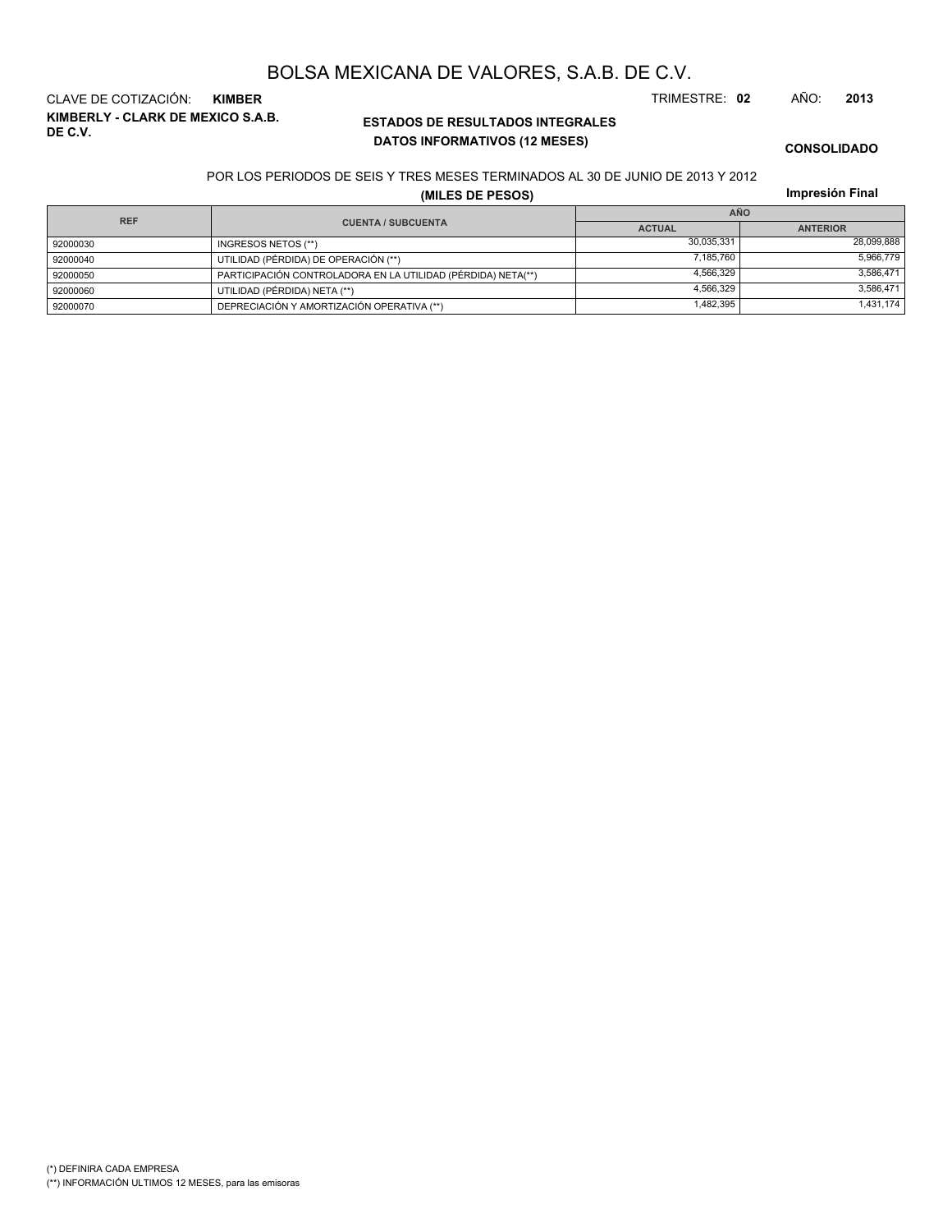**KIMBERLY - CLARK DE MEXICO S.A.B. DE C.V.** CLAVE DE COTIZACIÓN: **KIMBER** TRIMESTRE: **02** AÑO: **2013**

### **ESTADOS DE RESULTADOS INTEGRALES DATOS INFORMATIVOS (12 MESES)**

**CONSOLIDADO**

#### POR LOS PERIODOS DE SEIS Y TRES MESES TERMINADOS AL 30 DE JUNIO DE 2013 Y 2012

**(MILES DE PESOS)**

| <b>REF</b> |                                                              | <b>AÑO</b>    |                 |  |  |  |
|------------|--------------------------------------------------------------|---------------|-----------------|--|--|--|
|            | <b>CUENTA / SUBCUENTA</b>                                    | <b>ACTUAL</b> | <b>ANTERIOR</b> |  |  |  |
| 92000030   | INGRESOS NETOS (**)                                          | 30.035.331    | 28,099,888      |  |  |  |
| 92000040   | UTILIDAD (PÉRDIDA) DE OPERACIÓN (**)                         | 7.185.760     | 5,966,779       |  |  |  |
| 92000050   | PARTICIPACIÓN CONTROLADORA EN LA UTILIDAD (PÉRDIDA) NETA(**) | 4.566.329     | 3.586.471       |  |  |  |
| 92000060   | UTILIDAD (PÉRDIDA) NETA (**)                                 | 4.566.329     | 3,586,471       |  |  |  |
| 92000070   | DEPRECIACIÓN Y AMORTIZACIÓN OPERATIVA (**)                   | 1,482,395     | 1,431,174       |  |  |  |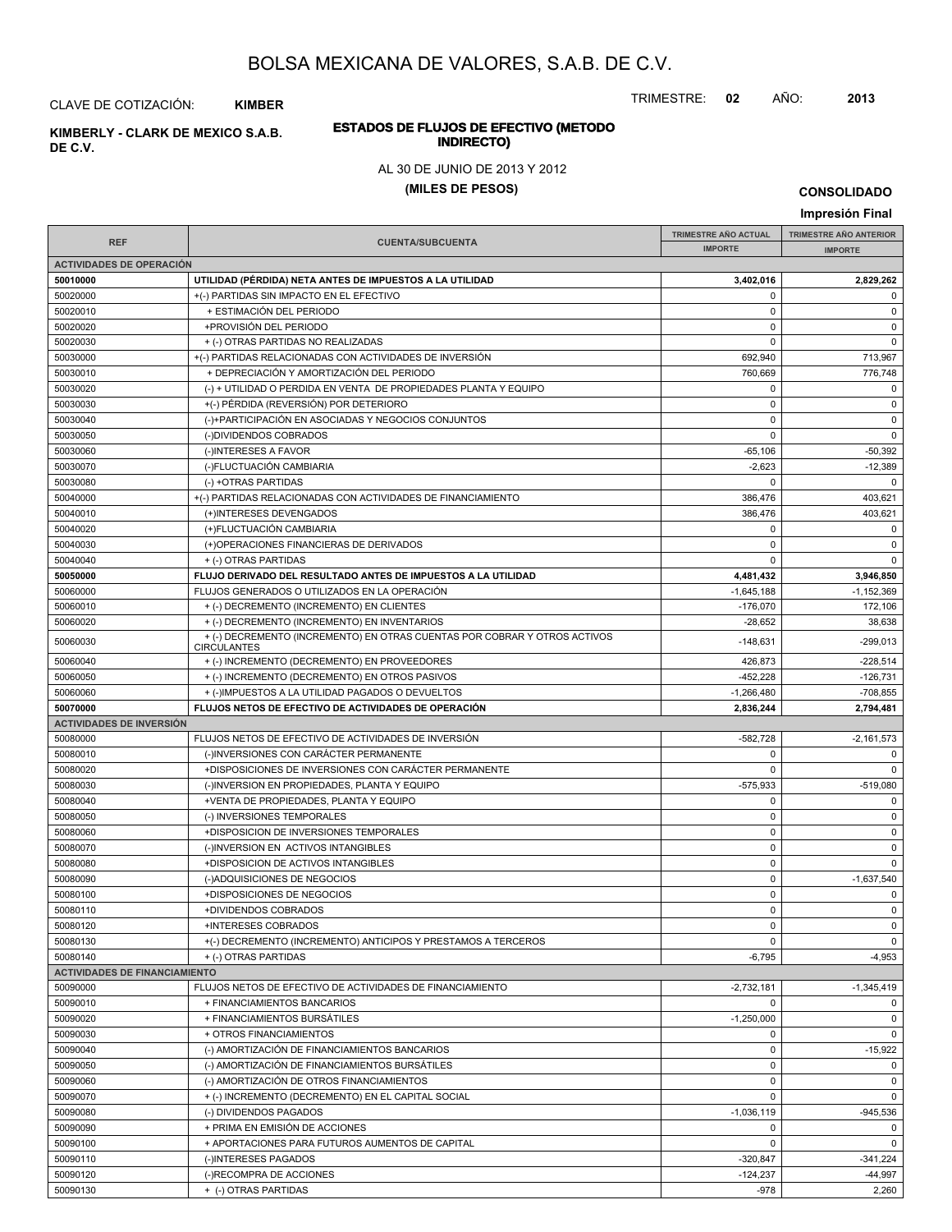TRIMESTRE: **02** AÑO: **2013**

# **ESTADOS DE FLUJOS DE EFECTIVO (METODO**

#### AL 30 DE JUNIO DE 2013 Y 2012

#### **(MILES DE PESOS)**

**CONSOLIDADO**

#### **Impresión Final IMPRESIÓN FINAL AND SUBCUENTA**<br> **IMPORTE TRIMESTRE AÑO ACTUAL IMPORTE IMPORTE REF TRIMESTRE AÑO ANTERIOR IMPORTE ACTIVIDADES DE OPERACIÓN 50010000 UTILIDAD (PÉRDIDA) NETA ANTES DE IMPUESTOS A LA UTILIDAD 3,402,016 2,829,262** 50020000 +(-) PARTIDAS SIN IMPACTO EN EL EFECTIVO 0 0 50020010 + ESTIMACIÓN DEL PERIODO 0 0 50020020 +PROVISIÓN DEL PERIODO 0 0 50020030 + (-) OTRAS PARTIDAS NO REALIZADAS 0 0 50030000 + (-) PARTIDAS RELACIONADAS CON ACTIVIDADES DE INVERSIÓN 692,940 692,940 713,967 50030010 + DEPRECIACIÓN Y AMORTIZACIÓN DEL PERIODO 760,669 776,748 50030020 (-) + UTILIDAD O PERDIDA EN VENTA DE PROPIEDADES PLANTA Y EQUIPO 0 0 50030030 +(-) PÉRDIDA (REVERSIÓN) POR DETERIORO 0 0 50030040 (-)+PARTICIPACIÓN EN ASOCIADAS Y NEGOCIOS CONJUNTOS 0 0 50030050 (-)DIVIDENDOS COBRADOS 0 0 50030060 (-)INTERESES A FAVOR -65,106 -50,392 50030070 (-)FLUCTUACIÓN CAMBIARIA -2,623 -12,389 50030080 (-) +OTRAS PARTIDAS 0 0 50040000 +(-) PARTIDAS RELACIONADAS CON ACTIVIDADES DE FINANCIAMIENTO 386,476 403,621 50040010 (+)INTERESES DEVENGADOS 386,476 403,621 50040020 (+)FLUCTUACIÓN CAMBIARIA 0 0 50040030 (+)OPERACIONES FINANCIERAS DE DERIVADOS 0 0 50040040 + (-) OTRAS PARTIDAS 0 0 **50050000 FLUJO DERIVADO DEL RESULTADO ANTES DE IMPUESTOS A LA UTILIDAD 4,481,432 3,946,850** 50060000 FLUJOS GENERADOS O UTILIZADOS EN LA OPERACIÓN -1,152,369 -1,645,188 -1,645,188 -1,152,369 50060010 + (-) DECREMENTO (INCREMENTO) EN CLIENTES -176,070 172,106 50060020 + (-) DECREMENTO (INCREMENTO) EN INVENTARIOS -28,652 38,638 <sup>50060030</sup> -148,631 -299,013 + (-) DECREMENTO (INCREMENTO) EN OTRAS CUENTAS POR COBRAR Y OTROS ACTIVOS **CIRCULANTES** 50060040 + (-) INCREMENTO (DECREMENTO) EN PROVEEDORES + + (-) INCREMENTO (DECREMENTO) EN PROVEEDORES 50060050 + (-) INCREMENTO (DECREMENTO) EN OTROS PASIVOS + + (-) INCREMENTO (DECREMENTO) EN OTROS PASIVOS  $+() \text{IMPUESTOS A LA UTLIDAD PAGADOS O DEVUELTOS} \tag{3000000} \text{--} \tag{3000000} \text{--} \tag{3000000} \text{--} \tag{3000000} \text{--} \tag{3000000} \text{--} \tag{3000000} \text{--} \tag{3000000} \text{--} \tag{3000000} \text{--} \tag{300000} \text{--} \tag{3000000} \text{--} \tag{3000000} \text{--} \tag{3000000} \text{--} \tag{$ **50070000 FLUJOS NETOS DE EFECTIVO DE ACTIVIDADES DE OPERACIÓN 2,836,244 2,794,481 ACTIVIDADES DE INVERSIÓN** 50080000 FLUJOS NETOS DE EFECTIVO DE ACTIVIDADES DE INVERSIÓN CONTENTENTE EN EL EL EL EL EL EL EL EL EL EL EL E 50080010 (-)INVERSIONES CON CARÁCTER PERMANENTE 0 0 50080020 +DISPOSICIONES DE INVERSIONES CON CARÁCTER PERMANENTE 0 0 50080030 (-)INVERSION EN PROPIEDADES, PLANTA Y EQUIPO -575,933 -575,933 -519,080 50080040 +VENTA DE PROPIEDADES, PLANTA Y EQUIPO 0 0 50080050 (-) INVERSIONES TEMPORALES 0 0 50080060 +DISPOSICION DE INVERSIONES TEMPORALES 0 0 50080070 (-)INVERSION EN ACTIVOS INTANGIBLES 0 0 50080080 +DISPOSICION DE ACTIVOS INTANGIBLES 0 0 50080090 (-)ADQUISICIONES DE NEGOCIOS 0 -1,637,540 50080100 +DISPOSICIONES DE NEGOCIOS 0 0 50080110 +DIVIDENDOS COBRADOS 0 0 50080120 +INTERESES COBRADOS 0 0 50080130 +(-) DECREMENTO (INCREMENTO) ANTICIPOS Y PRESTAMOS A TERCEROS 0 0 50080140 + (-) OTRAS PARTIDAS + (-) OTRAS PARTIDAS + (-) OTRAS PARTIDAS + (-) OTRAS PARTIDAS + (-) OTRAS PARTIDAS **ACTIVIDADES DE FINANCIAMIENTO** 50090000 FLUJOS NETOS DE EFECTIVO DE ACTIVIDADES DE FINANCIAMIENTO AND ESTENTENTO ANNO 1972,732,181 - 1,345,419 50090010 + FINANCIAMIENTOS BANCARIOS 0 0 50090020 + FINANCIAMIENTOS BURSÁTILES -1,250,000 0 50090030 + OTROS FINANCIAMIENTOS 0 0 50090040 (-) AMORTIZACIÓN DE FINANCIAMIENTOS BANCARIOS (1999) (-15,922 -15,922 50090050 (-) AMORTIZACIÓN DE FINANCIAMIENTOS BURSÁTILES 0 0 50090060 (-) AMORTIZACIÓN DE OTROS FINANCIAMIENTOS 0 0 50090070 + (-) INCREMENTO (DECREMENTO) EN EL CAPITAL SOCIAL 0 0 50090080 (-) DIVIDENDOS PAGADOS -1,036,119 -945,536 50090090 + PRIMA EN EMISIÓN DE ACCIONES de la componentación de la componentación de la componentación de la c 50090100 + APORTACIONES PARA FUTUROS AUMENTOS DE CAPITAL 0 0 50090110 | (-)INTERESES PAGADOS -320,847 | -341,224 50090120 (-)RECOMPRA DE ACCIONES -124,237 -44,997

50090130 + (-) OTRAS PARTIDAS -978 2,260

CLAVE DE COTIZACIÓN: **KIMBER**

**INDIRECTO) KIMBERLY - CLARK DE MEXICO S.A.B.**

**DE C.V.**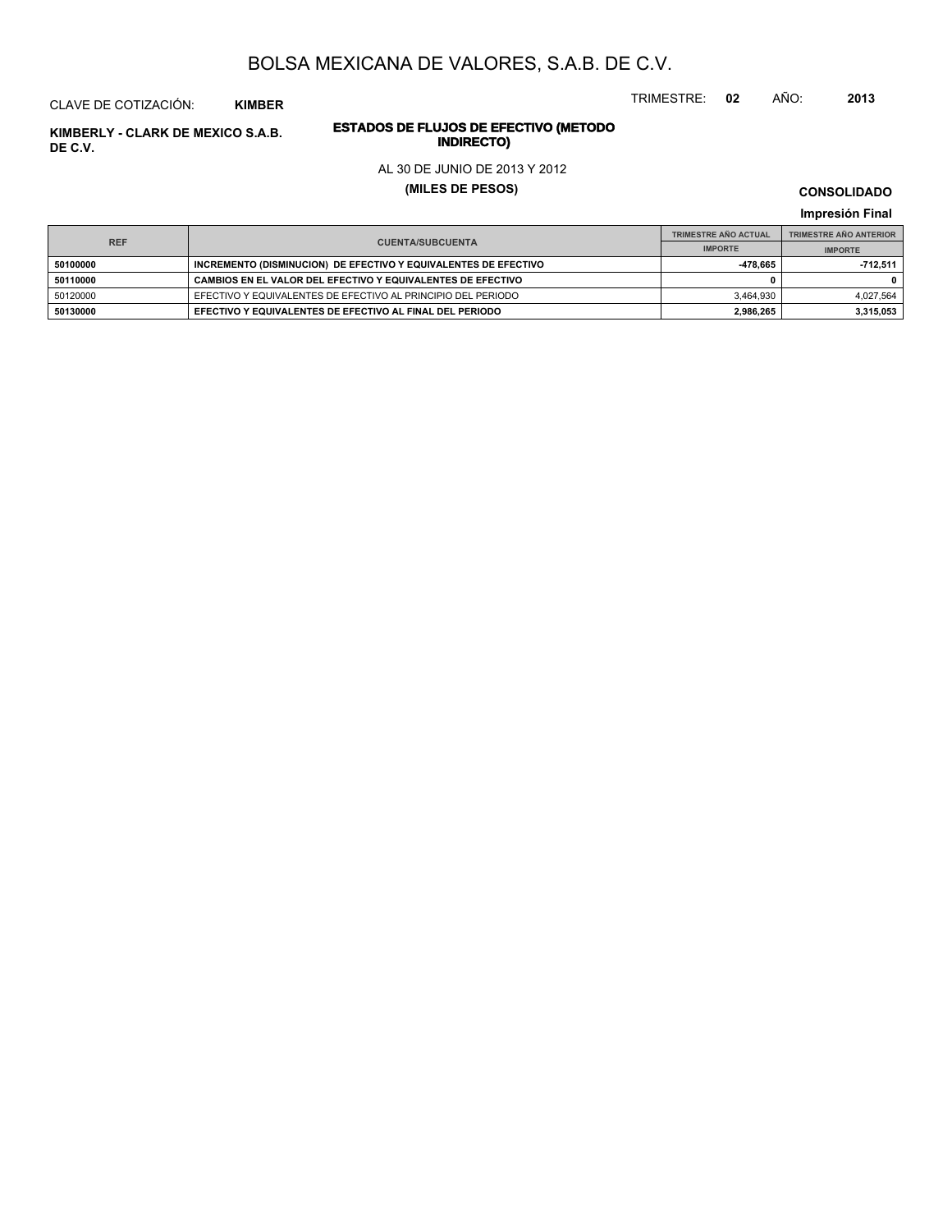TRIMESTRE: **02** AÑO: **2013**

# **ESTADOS DE FLUJOS DE EFECTIVO (METODO**

#### AL 30 DE JUNIO DE 2013 Y 2012

**(MILES DE PESOS)**

**CONSOLIDADO**

**Impresión Final**

| <b>REF</b> |                                                                 | <b>TRIMESTRE AÑO ACTUAL</b> | <b>TRIMESTRE AÑO ANTERIOR</b> |  |
|------------|-----------------------------------------------------------------|-----------------------------|-------------------------------|--|
|            | <b>CUENTA/SUBCUENTA</b>                                         | <b>IMPORTE</b>              | <b>IMPORTE</b>                |  |
| 50100000   | INCREMENTO (DISMINUCION) DE EFECTIVO Y EQUIVALENTES DE EFECTIVO | -478.665                    | 712.511                       |  |
| 50110000   | CAMBIOS EN EL VALOR DEL EFECTIVO Y EQUIVALENTES DE EFECTIVO     |                             |                               |  |
| 50120000   | EFECTIVO Y EQUIVALENTES DE EFECTIVO AL PRINCIPIO DEL PERIODO    | 3.464.930                   | 4.027.564                     |  |
| 50130000   | EFECTIVO Y EQUIVALENTES DE EFECTIVO AL FINAL DEL PERIODO        | 2,986,265                   | 3,315,053                     |  |

**INDIRECTO) KIMBERLY - CLARK DE MEXICO S.A.B. DE C.V.**

CLAVE DE COTIZACIÓN: **KIMBER**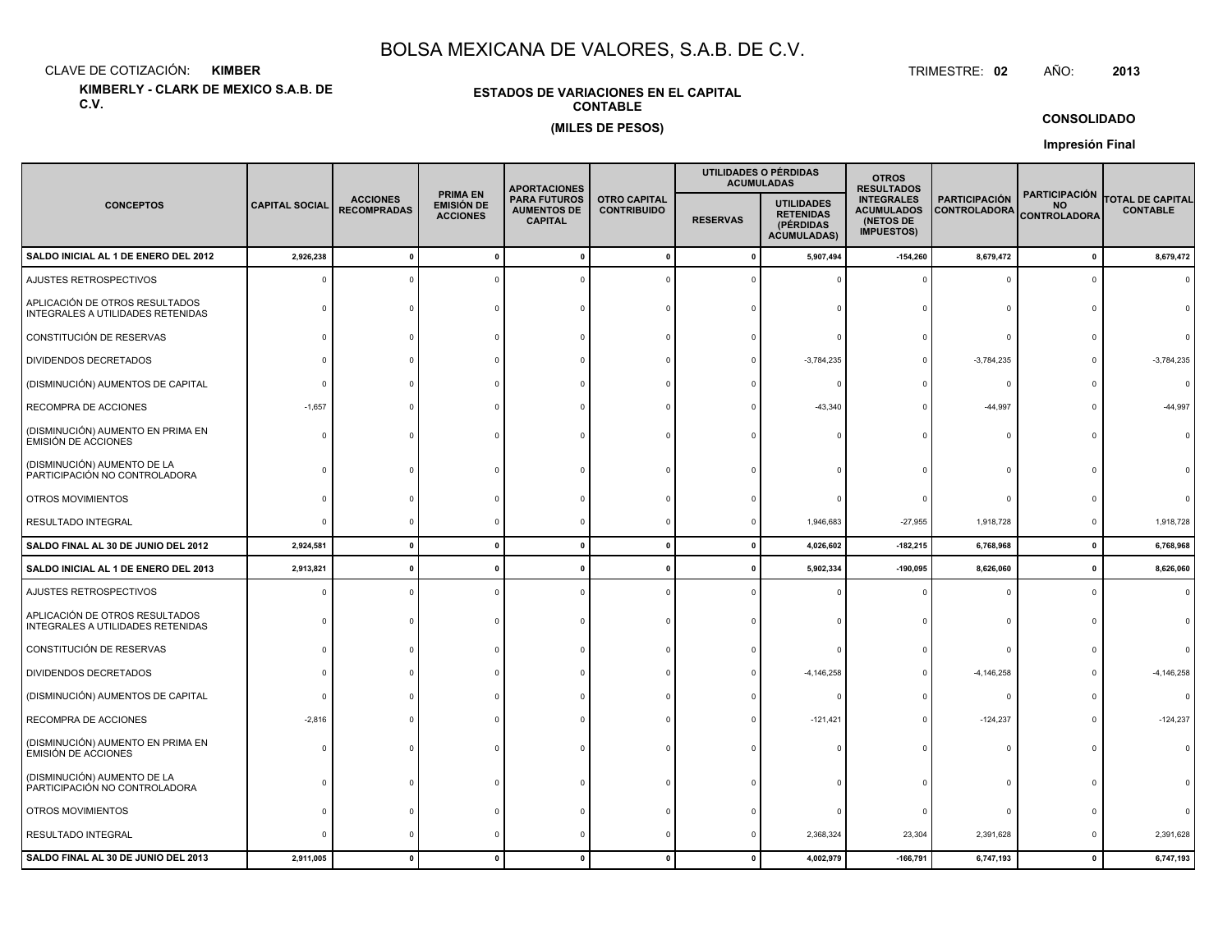CLAVE DE COTIZACIÓN:**KIMBER**: KIMBER TRIMESTRE:

**KIMBERLY - CLARK DE MEXICO S.A.B. DE C.V.**

### **ESTADOS DE VARIACIONES EN EL CAPITALCONTABLE(MILES DE PESOS)**

TRIMESTRE: 02 AÑO: **<sup>2013</sup>**

**CONSOLIDADO**

|                                                                     |                       |                                       |                                                         | <b>APORTACIONES</b>                                         |                                           |                 | UTILIDADES O PÉRDIDAS<br><b>ACUMULADAS</b>                               | <b>OTROS</b><br><b>RESULTADOS</b>                                        |                                             |                                                          |                                            |
|---------------------------------------------------------------------|-----------------------|---------------------------------------|---------------------------------------------------------|-------------------------------------------------------------|-------------------------------------------|-----------------|--------------------------------------------------------------------------|--------------------------------------------------------------------------|---------------------------------------------|----------------------------------------------------------|--------------------------------------------|
| <b>CONCEPTOS</b>                                                    | <b>CAPITAL SOCIAL</b> | <b>ACCIONES</b><br><b>RECOMPRADAS</b> | <b>PRIMA EN</b><br><b>EMISIÓN DE</b><br><b>ACCIONES</b> | <b>PARA FUTUROS</b><br><b>AUMENTOS DE</b><br><b>CAPITAL</b> | <b>OTRO CAPITAL</b><br><b>CONTRIBUIDO</b> | <b>RESERVAS</b> | <b>UTILIDADES</b><br><b>RETENIDAS</b><br>(PÉRDIDAS<br><b>ACUMULADAS)</b> | <b>INTEGRALES</b><br><b>ACUMULADOS</b><br>(NETOS DE<br><b>IMPUESTOS)</b> | <b>PARTICIPACIÓN</b><br><b>CONTROLADORA</b> | <b>PARTICIPACIÓN</b><br><b>NO</b><br><b>CONTROLADORA</b> | <b>TOTAL DE CAPITAL</b><br><b>CONTABLE</b> |
| SALDO INICIAL AL 1 DE ENERO DEL 2012                                | 2,926,238             |                                       |                                                         |                                                             | $\mathbf{0}$                              | $\mathbf{0}$    | 5,907,494                                                                | $-154,260$                                                               | 8,679,472                                   | $\pmb{0}$                                                | 8,679,472                                  |
| AJUSTES RETROSPECTIVOS                                              | $\Omega$              |                                       |                                                         |                                                             |                                           |                 |                                                                          |                                                                          | $\Omega$                                    | $\Omega$                                                 | $\Omega$                                   |
| APLICACIÓN DE OTROS RESULTADOS<br>INTEGRALES A UTILIDADES RETENIDAS |                       |                                       |                                                         |                                                             |                                           |                 |                                                                          |                                                                          | $\Omega$                                    |                                                          |                                            |
| CONSTITUCIÓN DE RESERVAS                                            |                       |                                       |                                                         |                                                             |                                           |                 |                                                                          |                                                                          | $\Omega$                                    |                                                          |                                            |
| DIVIDENDOS DECRETADOS                                               |                       |                                       |                                                         |                                                             |                                           |                 | $-3,784,235$                                                             |                                                                          | $-3,784,235$                                |                                                          | $-3,784,235$                               |
| (DISMINUCIÓN) AUMENTOS DE CAPITAL                                   |                       |                                       |                                                         |                                                             |                                           |                 |                                                                          |                                                                          | $\Omega$                                    |                                                          | $\Omega$                                   |
| RECOMPRA DE ACCIONES                                                | $-1,657$              |                                       |                                                         |                                                             |                                           |                 | $-43,340$                                                                |                                                                          | $-44,997$                                   | 0                                                        | -44,997                                    |
| (DISMINUCIÓN) AUMENTO EN PRIMA EN<br><b>EMISIÓN DE ACCIONES</b>     | ſ                     |                                       |                                                         |                                                             |                                           |                 |                                                                          |                                                                          | $\Omega$                                    | n                                                        |                                            |
| (DISMINUCIÓN) AUMENTO DE LA<br>PARTICIPACIÓN NO CONTROLADORA        |                       |                                       |                                                         |                                                             |                                           |                 |                                                                          |                                                                          |                                             |                                                          |                                            |
| OTROS MOVIMIENTOS                                                   |                       |                                       |                                                         |                                                             |                                           |                 |                                                                          |                                                                          | $\Omega$                                    |                                                          |                                            |
| <b>RESULTADO INTEGRAL</b>                                           |                       |                                       |                                                         |                                                             |                                           |                 | 1,946,683                                                                | $-27,955$                                                                | 1,918,728                                   | 0                                                        | 1,918,728                                  |
| SALDO FINAL AL 30 DE JUNIO DEL 2012                                 | 2,924,581             | $\mathbf{0}$                          | $\mathbf{0}$                                            | $\Omega$                                                    | $\mathbf 0$                               | $\mathbf{0}$    | 4,026,602                                                                | $-182,215$                                                               | 6,768,968                                   | 0                                                        | 6,768,968                                  |
| SALDO INICIAL AL 1 DE ENERO DEL 2013                                | 2,913,821             |                                       |                                                         |                                                             | $\mathbf{0}$                              |                 | 5,902,334                                                                | $-190,095$                                                               | 8,626,060                                   | $\mathbf 0$                                              | 8,626,060                                  |
| AJUSTES RETROSPECTIVOS                                              | ſ                     |                                       |                                                         |                                                             |                                           |                 |                                                                          |                                                                          | $\Omega$                                    | $\Omega$                                                 | $\Omega$                                   |
| APLICACIÓN DE OTROS RESULTADOS<br>INTEGRALES A UTILIDADES RETENIDAS |                       |                                       |                                                         |                                                             |                                           |                 |                                                                          |                                                                          | $\Omega$                                    |                                                          |                                            |
| CONSTITUCIÓN DE RESERVAS                                            |                       |                                       |                                                         |                                                             |                                           |                 |                                                                          |                                                                          | $\Omega$                                    |                                                          |                                            |
| DIVIDENDOS DECRETADOS                                               |                       |                                       |                                                         |                                                             |                                           |                 | $-4, 146, 258$                                                           |                                                                          | $-4,146,258$                                |                                                          | $-4, 146, 258$                             |
| (DISMINUCIÓN) AUMENTOS DE CAPITAL                                   |                       |                                       |                                                         |                                                             |                                           |                 |                                                                          |                                                                          | $^{\circ}$                                  |                                                          | $\Omega$                                   |
| RECOMPRA DE ACCIONES                                                | $-2,816$              |                                       |                                                         |                                                             |                                           |                 | $-121,421$                                                               |                                                                          | $-124,237$                                  | n                                                        | $-124,237$                                 |
| (DISMINUCIÓN) AUMENTO EN PRIMA EN<br>EMISIÓN DE ACCIONES            |                       |                                       |                                                         |                                                             |                                           |                 |                                                                          |                                                                          | $\Omega$                                    | n                                                        |                                            |
| (DISMINUCIÓN) AUMENTO DE LA<br>PARTICIPACIÓN NO CONTROLADORA        |                       |                                       |                                                         |                                                             |                                           |                 |                                                                          |                                                                          | $\Omega$                                    |                                                          |                                            |
| OTROS MOVIMIENTOS                                                   |                       |                                       |                                                         |                                                             |                                           |                 |                                                                          |                                                                          | $\Omega$                                    |                                                          |                                            |
| RESULTADO INTEGRAL                                                  |                       |                                       |                                                         |                                                             | c                                         |                 | 2,368,324                                                                | 23,304                                                                   | 2,391,628                                   | $\Omega$                                                 | 2,391,628                                  |
| SALDO FINAL AL 30 DE JUNIO DEL 2013                                 | 2,911,005             |                                       |                                                         |                                                             |                                           |                 | 4,002,979                                                                | $-166,791$                                                               | 6,747,193                                   | $\mathbf{0}$                                             | 6,747,193                                  |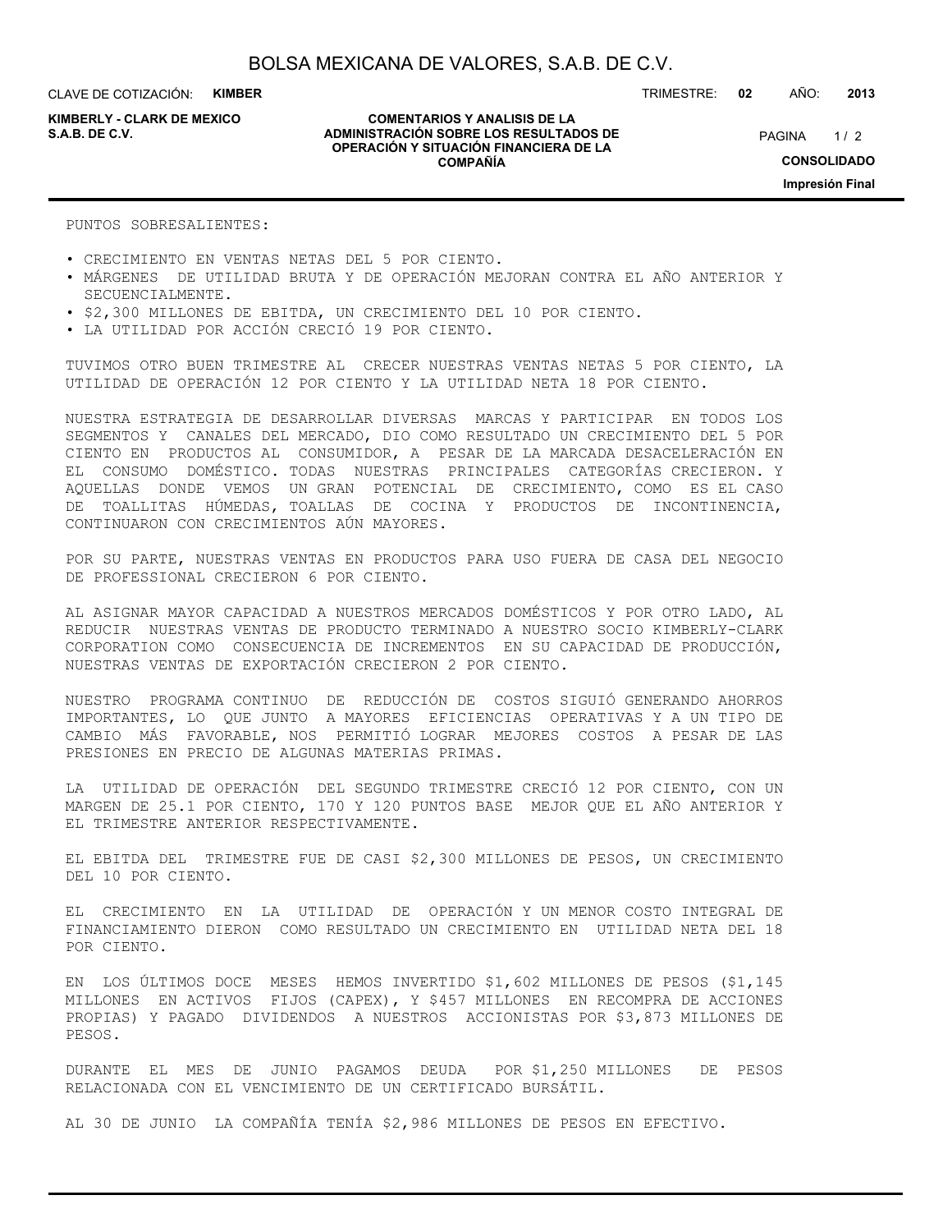CLAVE DE COTIZACIÓN: **KIMBER**

**KIMBERLY - CLARK DE MEXICO**

#### **COMENTARIOS Y ANALISIS DE LA ADMINISTRACIÓN SOBRE LOS RESULTADOS DE S.A.B. DE C.V.** PAGINA / 2 **OPERACIÓN Y SITUACIÓN FINANCIERA DE LA COMPAÑÍA**

 $1/2$ **CONSOLIDADO Impresión Final**

TRIMESTRE: **02** AÑO: **2013**

PUNTOS SOBRESALIENTES:

- CRECIMIENTO EN VENTAS NETAS DEL 5 POR CIENTO.
- MÁRGENES DE UTILIDAD BRUTA Y DE OPERACIÓN MEJORAN CONTRA EL AÑO ANTERIOR Y SECUENCIALMENTE.
- \$2,300 MILLONES DE EBITDA, UN CRECIMIENTO DEL 10 POR CIENTO.
- LA UTILIDAD POR ACCIÓN CRECIÓ 19 POR CIENTO.

TUVIMOS OTRO BUEN TRIMESTRE AL CRECER NUESTRAS VENTAS NETAS 5 POR CIENTO, LA UTILIDAD DE OPERACIÓN 12 POR CIENTO Y LA UTILIDAD NETA 18 POR CIENTO.

NUESTRA ESTRATEGIA DE DESARROLLAR DIVERSAS MARCAS Y PARTICIPAR EN TODOS LOS SEGMENTOS Y CANALES DEL MERCADO, DIO COMO RESULTADO UN CRECIMIENTO DEL 5 POR CIENTO EN PRODUCTOS AL CONSUMIDOR, A PESAR DE LA MARCADA DESACELERACIÓN EN EL CONSUMO DOMÉSTICO. TODAS NUESTRAS PRINCIPALES CATEGORÍAS CRECIERON. Y AQUELLAS DONDE VEMOS UN GRAN POTENCIAL DE CRECIMIENTO, COMO ES EL CASO DE TOALLITAS HÚMEDAS, TOALLAS DE COCINA Y PRODUCTOS DE INCONTINENCIA, CONTINUARON CON CRECIMIENTOS AÚN MAYORES.

POR SU PARTE, NUESTRAS VENTAS EN PRODUCTOS PARA USO FUERA DE CASA DEL NEGOCIO DE PROFESSIONAL CRECIERON 6 POR CIENTO.

AL ASIGNAR MAYOR CAPACIDAD A NUESTROS MERCADOS DOMÉSTICOS Y POR OTRO LADO, AL REDUCIR NUESTRAS VENTAS DE PRODUCTO TERMINADO A NUESTRO SOCIO KIMBERLY-CLARK CORPORATION COMO CONSECUENCIA DE INCREMENTOS EN SU CAPACIDAD DE PRODUCCIÓN, NUESTRAS VENTAS DE EXPORTACIÓN CRECIERON 2 POR CIENTO.

NUESTRO PROGRAMA CONTINUO DE REDUCCIÓN DE COSTOS SIGUIÓ GENERANDO AHORROS IMPORTANTES, LO QUE JUNTO A MAYORES EFICIENCIAS OPERATIVAS Y A UN TIPO DE CAMBIO MÁS FAVORABLE, NOS PERMITIÓ LOGRAR MEJORES COSTOS A PESAR DE LAS PRESIONES EN PRECIO DE ALGUNAS MATERIAS PRIMAS.

LA UTILIDAD DE OPERACIÓN DEL SEGUNDO TRIMESTRE CRECIÓ 12 POR CIENTO, CON UN MARGEN DE 25.1 POR CIENTO, 170 Y 120 PUNTOS BASE MEJOR QUE EL AÑO ANTERIOR Y EL TRIMESTRE ANTERIOR RESPECTIVAMENTE.

EL EBITDA DEL TRIMESTRE FUE DE CASI \$2,300 MILLONES DE PESOS, UN CRECIMIENTO DEL 10 POR CIENTO.

EL CRECIMIENTO EN LA UTILIDAD DE OPERACIÓN Y UN MENOR COSTO INTEGRAL DE FINANCIAMIENTO DIERON COMO RESULTADO UN CRECIMIENTO EN UTILIDAD NETA DEL 18 POR CIENTO.

EN LOS ÚLTIMOS DOCE MESES HEMOS INVERTIDO \$1,602 MILLONES DE PESOS (\$1,145 MILLONES EN ACTIVOS FIJOS (CAPEX), Y \$457 MILLONES EN RECOMPRA DE ACCIONES PROPIAS) Y PAGADO DIVIDENDOS A NUESTROS ACCIONISTAS POR \$3,873 MILLONES DE PESOS.

DURANTE EL MES DE JUNIO PAGAMOS DEUDA POR \$1,250 MILLONES DE PESOS RELACIONADA CON EL VENCIMIENTO DE UN CERTIFICADO BURSÁTIL.

AL 30 DE JUNIO LA COMPAÑÍA TENÍA \$2,986 MILLONES DE PESOS EN EFECTIVO.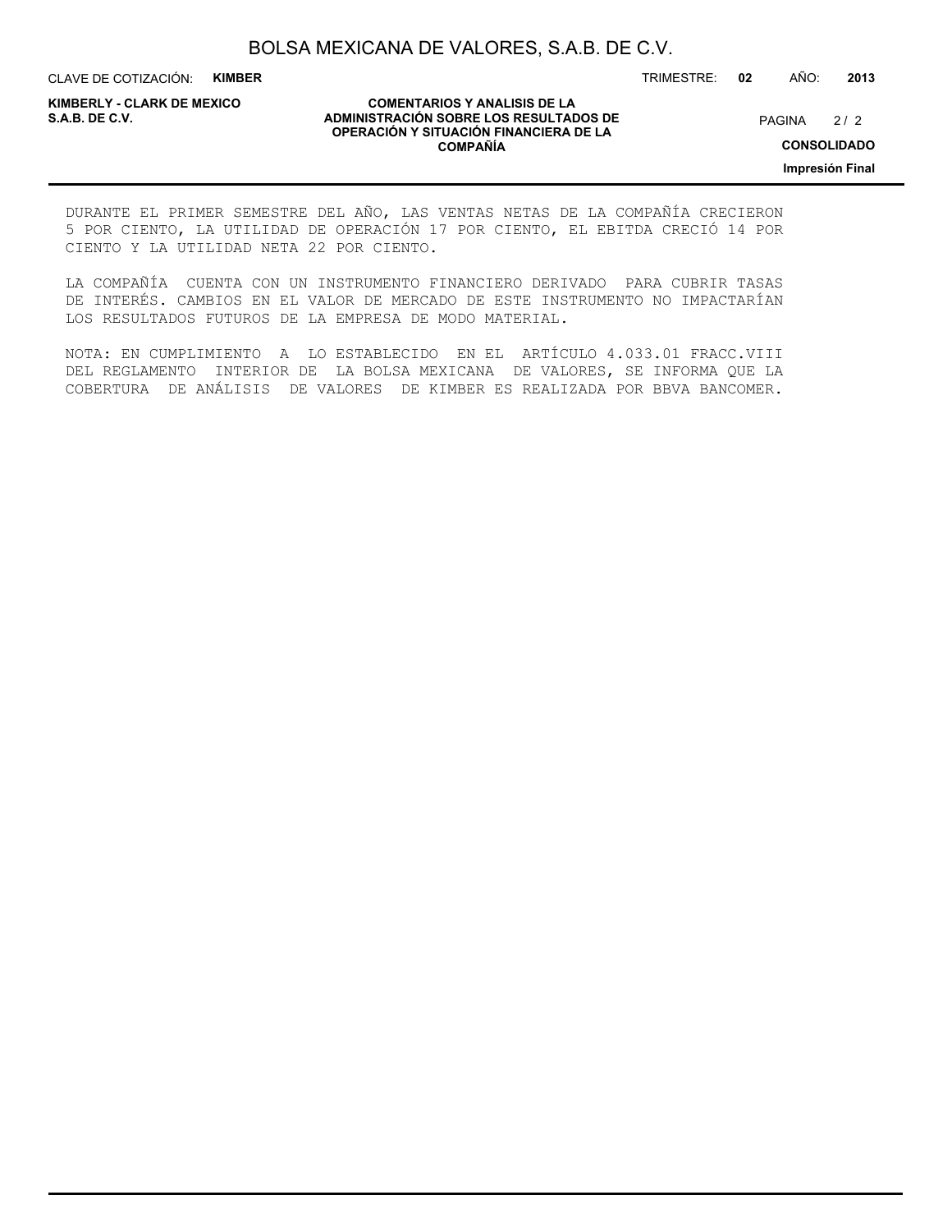CLAVE DE COTIZACIÓN: **KIMBER**

**KIMBERLY - CLARK DE MEXICO**

#### **COMENTARIOS Y ANALISIS DE LA ADMINISTRACIÓN SOBRE LOS RESULTADOS DE PAGINA 2/2 ADMINISTRACIÓN SOBRE LOS RESULTADOS DE** PAGINA 2/2 **OPERACIÓN Y SITUACIÓN FINANCIERA DE LA COMPAÑÍA**

 $2/2$ 

**CONSOLIDADO**

**Impresión Final**

DURANTE EL PRIMER SEMESTRE DEL AÑO, LAS VENTAS NETAS DE LA COMPAÑÍA CRECIERON 5 POR CIENTO, LA UTILIDAD DE OPERACIÓN 17 POR CIENTO, EL EBITDA CRECIÓ 14 POR CIENTO Y LA UTILIDAD NETA 22 POR CIENTO.

LA COMPAÑÍA CUENTA CON UN INSTRUMENTO FINANCIERO DERIVADO PARA CUBRIR TASAS DE INTERÉS. CAMBIOS EN EL VALOR DE MERCADO DE ESTE INSTRUMENTO NO IMPACTARÍAN LOS RESULTADOS FUTUROS DE LA EMPRESA DE MODO MATERIAL.

NOTA: EN CUMPLIMIENTO A LO ESTABLECIDO EN EL ARTÍCULO 4.033.01 FRACC.VIII DEL REGLAMENTO INTERIOR DE LA BOLSA MEXICANA DE VALORES, SE INFORMA QUE LA COBERTURA DE ANÁLISIS DE VALORES DE KIMBER ES REALIZADA POR BBVA BANCOMER.

TRIMESTRE: **02** AÑO: **2013**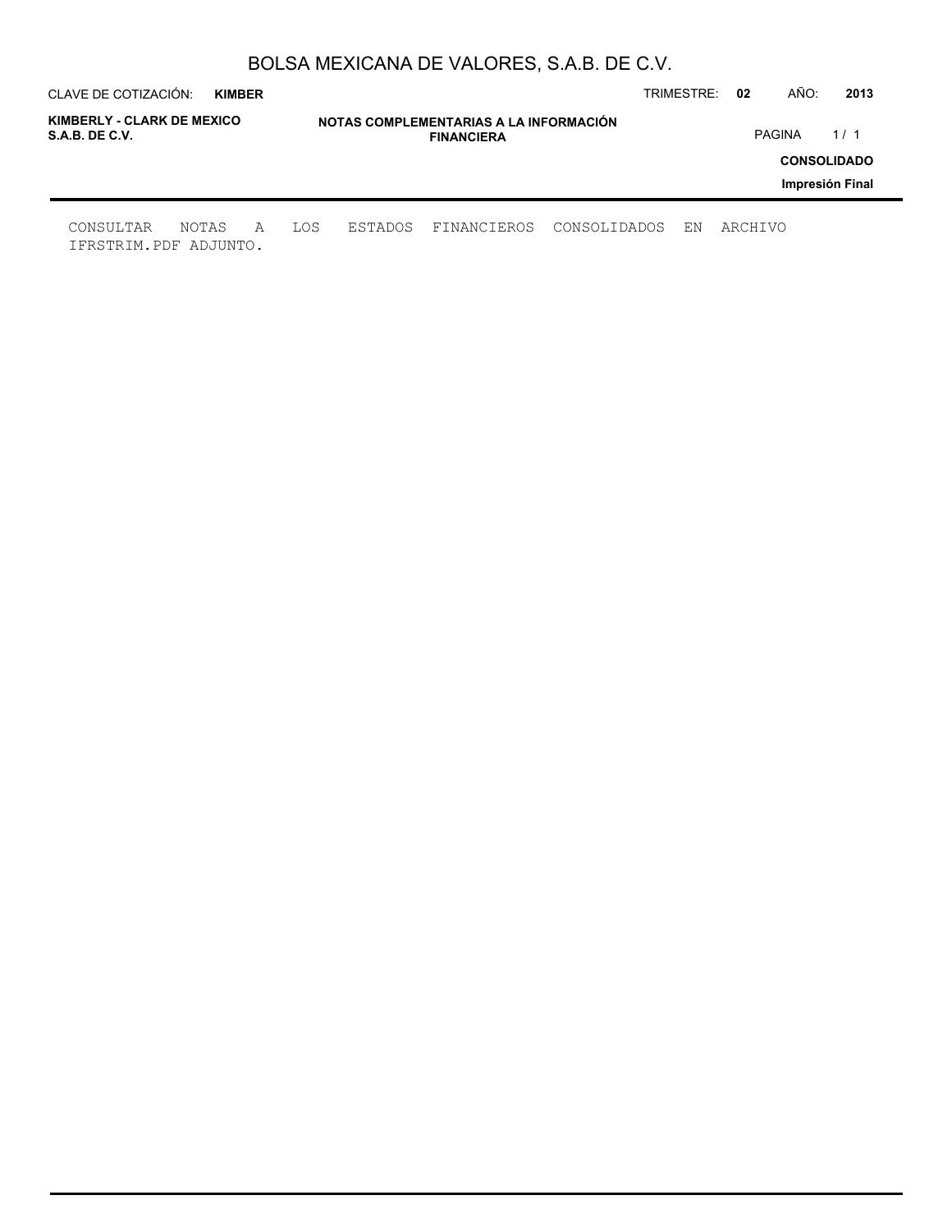| CLAVE DE COTIZACIÓN:                         | <b>KIMBER</b> |   |     |                                                             |             |              | TRIMESTRE: | 02      | AÑO:                                  | 2013 |  |
|----------------------------------------------|---------------|---|-----|-------------------------------------------------------------|-------------|--------------|------------|---------|---------------------------------------|------|--|
| KIMBERLY - CLARK DE MEXICO<br>S.A.B. DE C.V. |               |   |     | NOTAS COMPLEMENTARIAS A LA INFORMACIÓN<br><b>FINANCIERA</b> |             |              |            |         | <b>PAGINA</b><br>1/1                  |      |  |
|                                              |               |   |     |                                                             |             |              |            |         | <b>CONSOLIDADO</b><br>Impresión Final |      |  |
| CONSULTAR<br>IFRSTRIM.PDF ADJUNTO.           | NOTAS         | A | LOS | ESTADOS                                                     | FINANCIEROS | CONSOLIDADOS | ΕN         | ARCHIVO |                                       |      |  |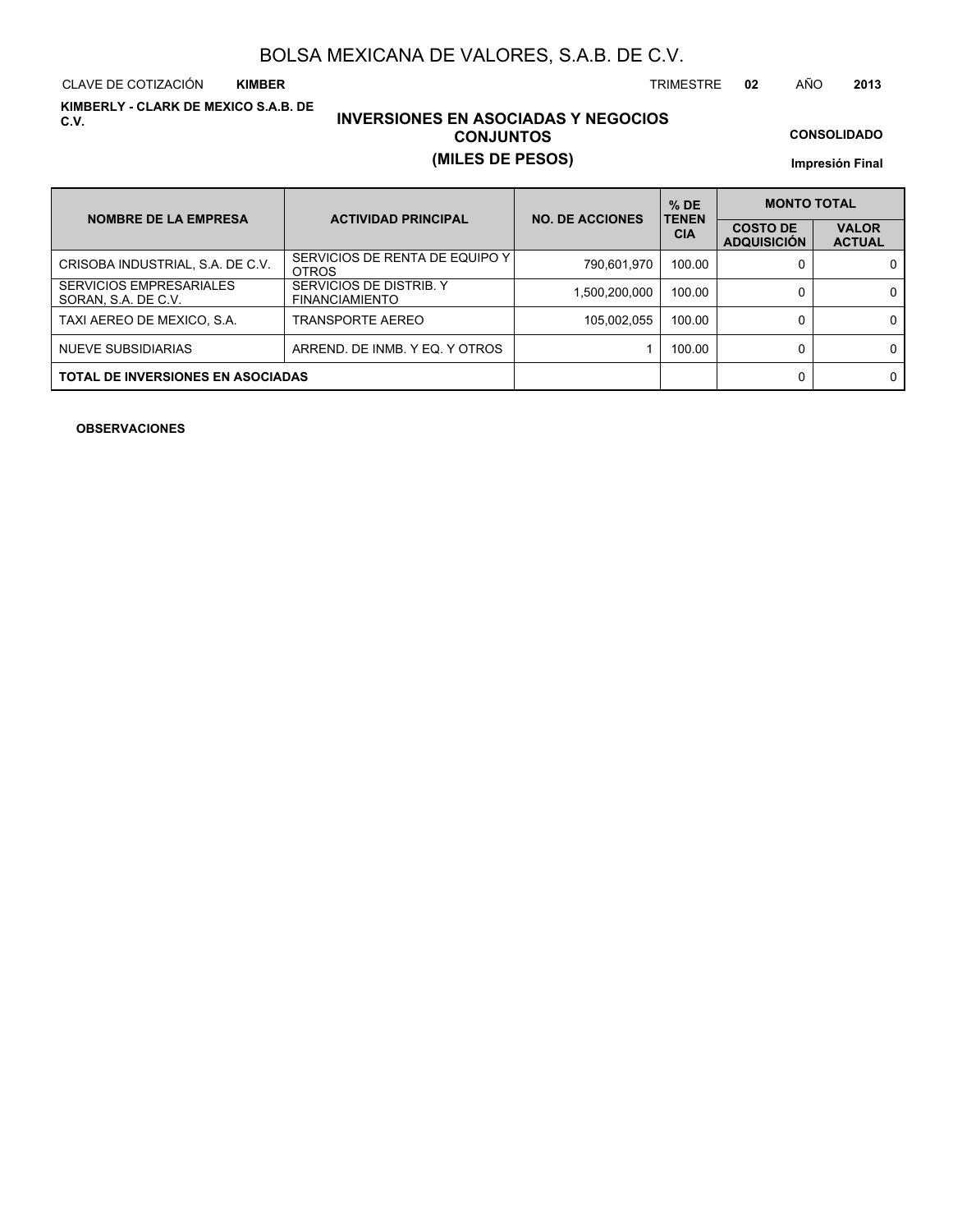CLAVE DE COTIZACIÓN TRIMESTRE **02** AÑO **2013 KIMBER**

**KIMBERLY - CLARK DE MEXICO S.A.B. DE C.V.**

### **INVERSIONES EN ASOCIADAS Y NEGOCIOS CONJUNTOS (MILES DE PESOS)**

**CONSOLIDADO**

**Impresión Final**

| <b>NOMBRE DE LA EMPRESA</b>                           | <b>ACTIVIDAD PRINCIPAL</b>                       | <b>NO. DE ACCIONES</b> | $%$ DE<br><b>TENEN</b> | <b>MONTO TOTAL</b>                    |                               |  |
|-------------------------------------------------------|--------------------------------------------------|------------------------|------------------------|---------------------------------------|-------------------------------|--|
|                                                       |                                                  |                        | <b>CIA</b>             | <b>COSTO DE</b><br><b>ADQUISICIÓN</b> | <b>VALOR</b><br><b>ACTUAL</b> |  |
| CRISOBA INDUSTRIAL, S.A. DE C.V.                      | SERVICIOS DE RENTA DE EQUIPO Y I<br><b>OTROS</b> | 790,601,970            | 100.00                 |                                       | 0                             |  |
| <b>SERVICIOS EMPRESARIALES</b><br>SORAN, S.A. DE C.V. | SERVICIOS DE DISTRIB. Y<br><b>FINANCIAMIENTO</b> | 1,500,200,000          | 100.00                 |                                       | 0                             |  |
| TAXI AEREO DE MEXICO, S.A.                            | TRANSPORTE AEREO                                 | 105,002,055            | 100.00                 |                                       | 0                             |  |
| NUEVE SUBSIDIARIAS                                    | ARREND. DE INMB. Y EQ. Y OTROS                   |                        | 100.00                 |                                       | 0                             |  |
| <b>TOTAL DE INVERSIONES EN ASOCIADAS</b>              |                                                  |                        |                        |                                       | 0                             |  |

**OBSERVACIONES**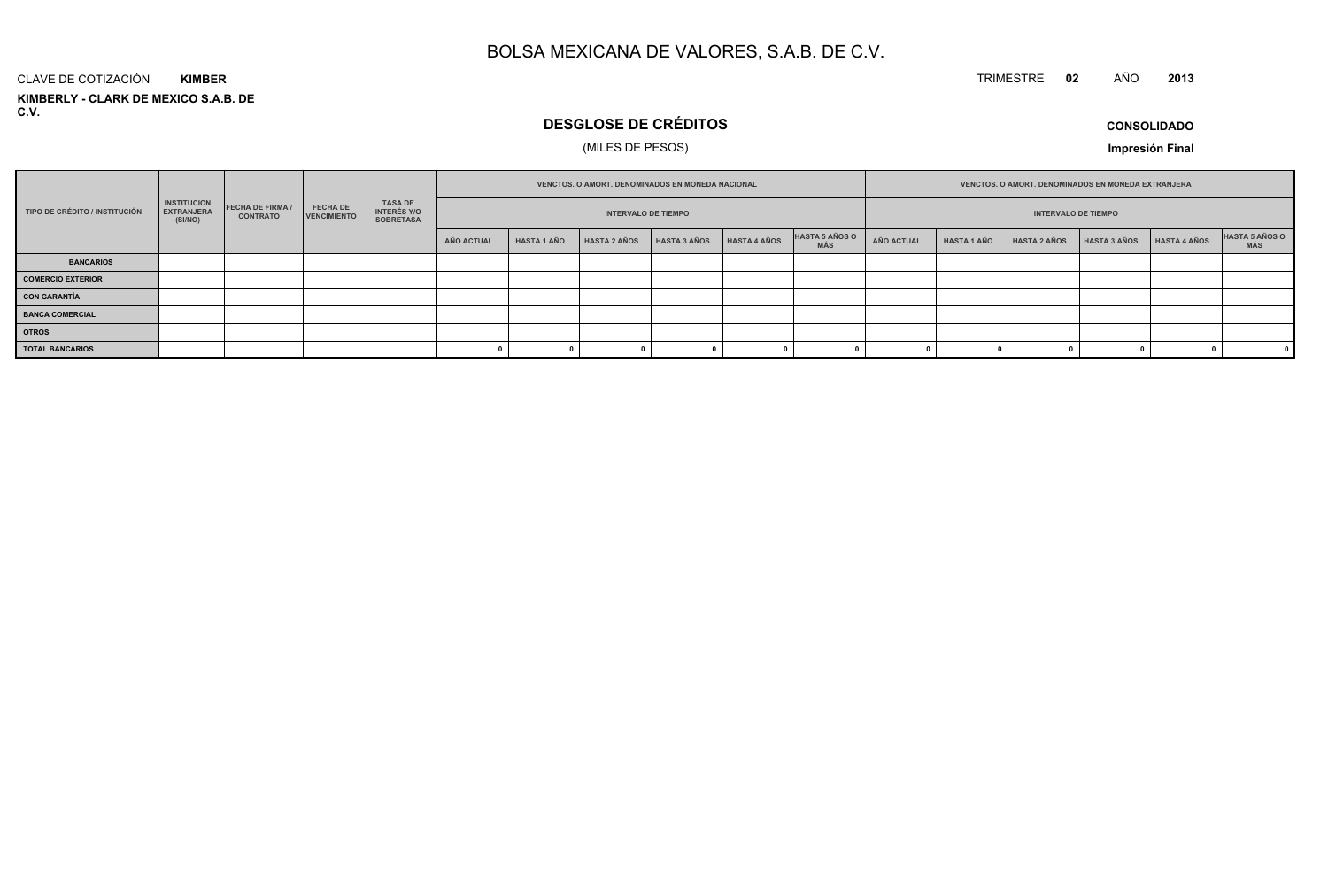#### TRIMESTRE **<sup>02</sup>** AÑO**<sup>2013</sup>**

#### **KIMBERLY - CLARK DE MEXICO S.A.B. DE C.V.**CLAVE DE COTIZACIÓN**KIMBER**

### **DESGLOSE DE CRÉDITOS**

### (MILES DE PESOS)

**CONSOLIDADO**

|                               |                                                    |                                          |                                |                                                          | <b>VENCTOS, O AMORT, DENOMINADOS EN MONEDA NACIONAL</b> |                            |                     |                     |                     |                              | VENCTOS. O AMORT. DENOMINADOS EN MONEDA EXTRANJERA |                    |                     |                     |              |                              |
|-------------------------------|----------------------------------------------------|------------------------------------------|--------------------------------|----------------------------------------------------------|---------------------------------------------------------|----------------------------|---------------------|---------------------|---------------------|------------------------------|----------------------------------------------------|--------------------|---------------------|---------------------|--------------|------------------------------|
| TIPO DE CRÉDITO / INSTITUCIÓN | <b>INSTITUCION</b><br><b>EXTRANJERA</b><br>(SI/NO) | <b>FECHA DE FIRMA</b><br><b>CONTRATO</b> | <b>FECHA DE</b><br>VENCIMIENTO | <b>TASA DE</b><br><b>INTERÉS Y/O</b><br><b>SOBRETASA</b> |                                                         | <b>INTERVALO DE TIEMPO</b> |                     |                     |                     |                              | <b>INTERVALO DE TIEMPO</b>                         |                    |                     |                     |              |                              |
|                               |                                                    |                                          |                                |                                                          | AÑO ACTUAL                                              | <b>HASTA 1 AÑO</b>         | <b>HASTA 2 AÑOS</b> | <b>HASTA 3 AÑOS</b> | <b>HASTA 4 AÑOS</b> | HASTA 5 AÑOS O<br><b>MÁS</b> | AÑO ACTUAL                                         | <b>HASTA 1 AÑO</b> | <b>HASTA 2 AÑOS</b> | <b>HASTA 3 AÑOS</b> | HASTA 4 AÑOS | <b>HASTA 5 AÑOS O</b><br>MÁS |
| <b>BANCARIOS</b>              |                                                    |                                          |                                |                                                          |                                                         |                            |                     |                     |                     |                              |                                                    |                    |                     |                     |              |                              |
| <b>COMERCIO EXTERIOR</b>      |                                                    |                                          |                                |                                                          |                                                         |                            |                     |                     |                     |                              |                                                    |                    |                     |                     |              |                              |
| <b>CON GARANTÍA</b>           |                                                    |                                          |                                |                                                          |                                                         |                            |                     |                     |                     |                              |                                                    |                    |                     |                     |              |                              |
| <b>BANCA COMERCIAL</b>        |                                                    |                                          |                                |                                                          |                                                         |                            |                     |                     |                     |                              |                                                    |                    |                     |                     |              |                              |
| <b>OTROS</b>                  |                                                    |                                          |                                |                                                          |                                                         |                            |                     |                     |                     |                              |                                                    |                    |                     |                     |              |                              |
| <b>TOTAL BANCARIOS</b>        |                                                    |                                          |                                |                                                          |                                                         |                            |                     |                     |                     |                              |                                                    |                    |                     |                     |              |                              |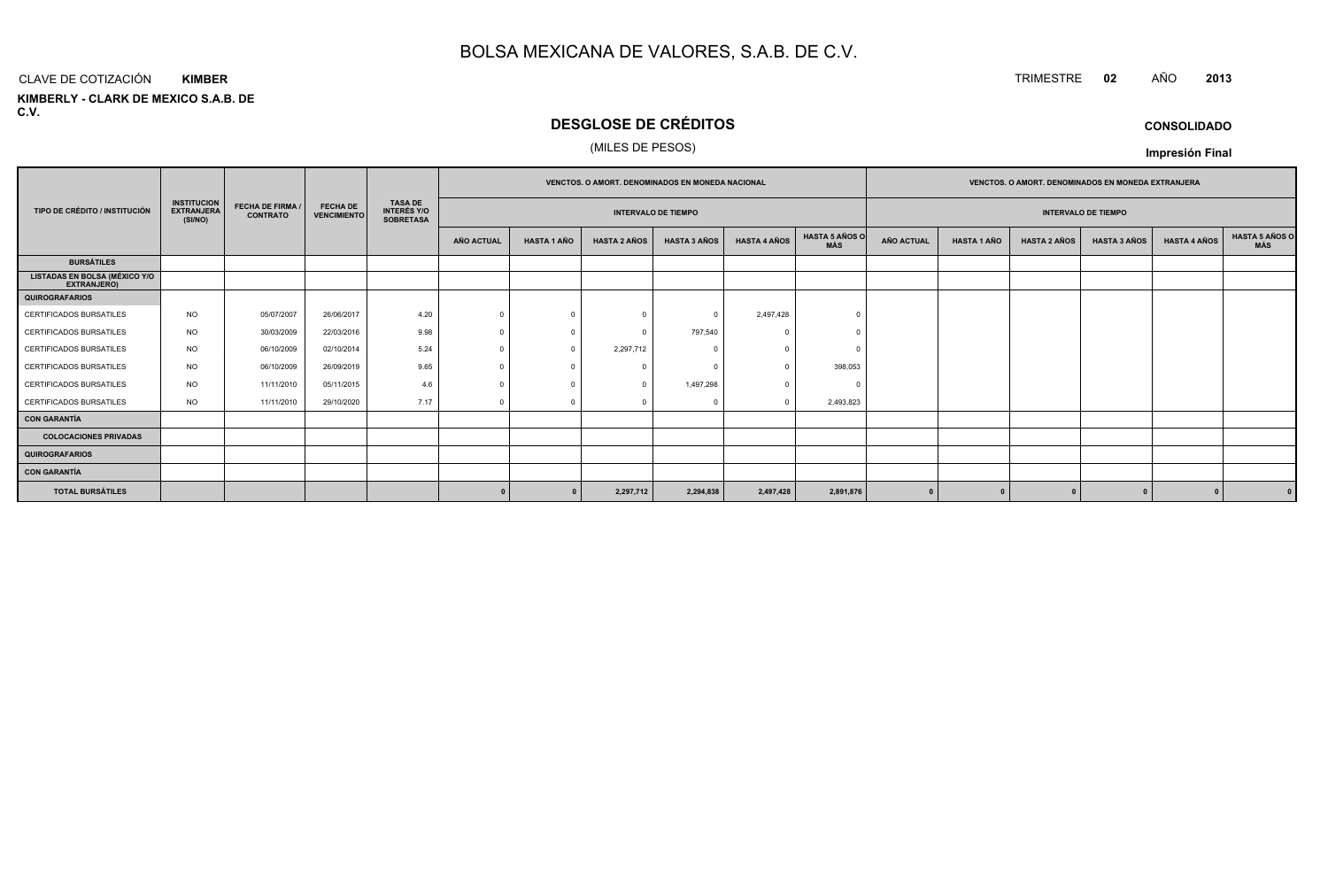#### CLAVE DE COTIZACIÓN TRIMESTRE **<sup>02</sup>** AÑO **<sup>2013</sup> KIMBER**

**KIMBERLY - CLARK DE MEXICO S.A.B. DE C.V.**

### **DESGLOSE DE CRÉDITOS**

### (MILES DE PESOS)

|                                                     |                                                    |                                            |                                       | <b>TASA DE</b><br><b>INTERÉS Y/O</b><br><b>SOBRETASA</b> | <b>VENCTOS, O AMORT, DENOMINADOS EN MONEDA NACIONAL</b> |                    |                     |                     |                     | <b>VENCTOS, O AMORT, DENOMINADOS EN MONEDA EXTRANJERA</b> |                   |                    |                            |                     |                     |                              |
|-----------------------------------------------------|----------------------------------------------------|--------------------------------------------|---------------------------------------|----------------------------------------------------------|---------------------------------------------------------|--------------------|---------------------|---------------------|---------------------|-----------------------------------------------------------|-------------------|--------------------|----------------------------|---------------------|---------------------|------------------------------|
| TIPO DE CRÉDITO / INSTITUCIÓN                       | <b>INSTITUCION</b><br><b>EXTRANJERA</b><br>(SI/NO) | <b>FECHA DE FIRMA /</b><br><b>CONTRATO</b> | <b>FECHA DE</b><br><b>VENCIMIENTO</b> |                                                          | <b>INTERVALO DE TIEMPO</b>                              |                    |                     |                     |                     |                                                           |                   |                    | <b>INTERVALO DE TIEMPO</b> |                     |                     |                              |
|                                                     |                                                    |                                            |                                       |                                                          | AÑO ACTUAL                                              | <b>HASTA 1 AÑO</b> | <b>HASTA 2 AÑOS</b> | <b>HASTA 3 AÑOS</b> | <b>HASTA 4 AÑOS</b> | <b>HASTA 5 AÑOS O</b><br>MÁS                              | <b>AÑO ACTUAL</b> | <b>HASTA 1 AÑO</b> | <b>HASTA 2 AÑOS</b>        | <b>HASTA 3 AÑOS</b> | <b>HASTA 4 AÑOS</b> | <b>HASTA 5 AÑOS C</b><br>MÁS |
| <b>BURSÁTILES</b>                                   |                                                    |                                            |                                       |                                                          |                                                         |                    |                     |                     |                     |                                                           |                   |                    |                            |                     |                     |                              |
| LISTADAS EN BOLSA (MÉXICO Y/O<br><b>EXTRANJERO)</b> |                                                    |                                            |                                       |                                                          |                                                         |                    |                     |                     |                     |                                                           |                   |                    |                            |                     |                     |                              |
| <b>QUIROGRAFARIOS</b>                               |                                                    |                                            |                                       |                                                          |                                                         |                    |                     |                     |                     |                                                           |                   |                    |                            |                     |                     |                              |
| <b>CERTIFICADOS BURSATILES</b>                      | <b>NO</b>                                          | 05/07/2007                                 | 26/06/2017                            | 4.20                                                     |                                                         | $\Omega$           | $\Omega$            | $\Omega$            | 2,497,428           |                                                           |                   |                    |                            |                     |                     |                              |
| CERTIFICADOS BURSATILES                             | <b>NO</b>                                          | 30/03/2009                                 | 22/03/2016                            | 9.98                                                     |                                                         | $\Omega$           | $\Omega$            | 797,540             |                     |                                                           |                   |                    |                            |                     |                     |                              |
| <b>CERTIFICADOS BURSATILES</b>                      | <b>NO</b>                                          | 06/10/2009                                 | 02/10/2014                            | 5.24                                                     |                                                         | $^{\circ}$         | 2,297,712           |                     |                     |                                                           |                   |                    |                            |                     |                     |                              |
| CERTIFICADOS BURSATILES                             | <b>NO</b>                                          | 06/10/2009                                 | 26/09/2019                            | 9.65                                                     |                                                         | $\Omega$           |                     |                     |                     | 398,053                                                   |                   |                    |                            |                     |                     |                              |
| <b>CERTIFICADOS BURSATILES</b>                      | <b>NO</b>                                          | 11/11/2010                                 | 05/11/2015                            | 4.6                                                      |                                                         | $\Omega$           | $\Omega$            | 1,497,298           |                     | ſ                                                         |                   |                    |                            |                     |                     |                              |
| CERTIFICADOS BURSATILES                             | <b>NO</b>                                          | 11/11/2010                                 | 29/10/2020                            | 7.17                                                     |                                                         | $\Omega$           |                     |                     |                     | 2,493,823                                                 |                   |                    |                            |                     |                     |                              |
| <b>CON GARANTÍA</b>                                 |                                                    |                                            |                                       |                                                          |                                                         |                    |                     |                     |                     |                                                           |                   |                    |                            |                     |                     |                              |
| <b>COLOCACIONES PRIVADAS</b>                        |                                                    |                                            |                                       |                                                          |                                                         |                    |                     |                     |                     |                                                           |                   |                    |                            |                     |                     |                              |
| <b>QUIROGRAFARIOS</b>                               |                                                    |                                            |                                       |                                                          |                                                         |                    |                     |                     |                     |                                                           |                   |                    |                            |                     |                     |                              |
| <b>CON GARANTÍA</b>                                 |                                                    |                                            |                                       |                                                          |                                                         |                    |                     |                     |                     |                                                           |                   |                    |                            |                     |                     |                              |
| <b>TOTAL BURSÁTILES</b>                             |                                                    |                                            |                                       |                                                          |                                                         | $\Omega$           | 2,297,712           | 2,294,838           | 2,497,428           | 2,891,876                                                 |                   |                    |                            |                     |                     |                              |

**CONSOLIDADO**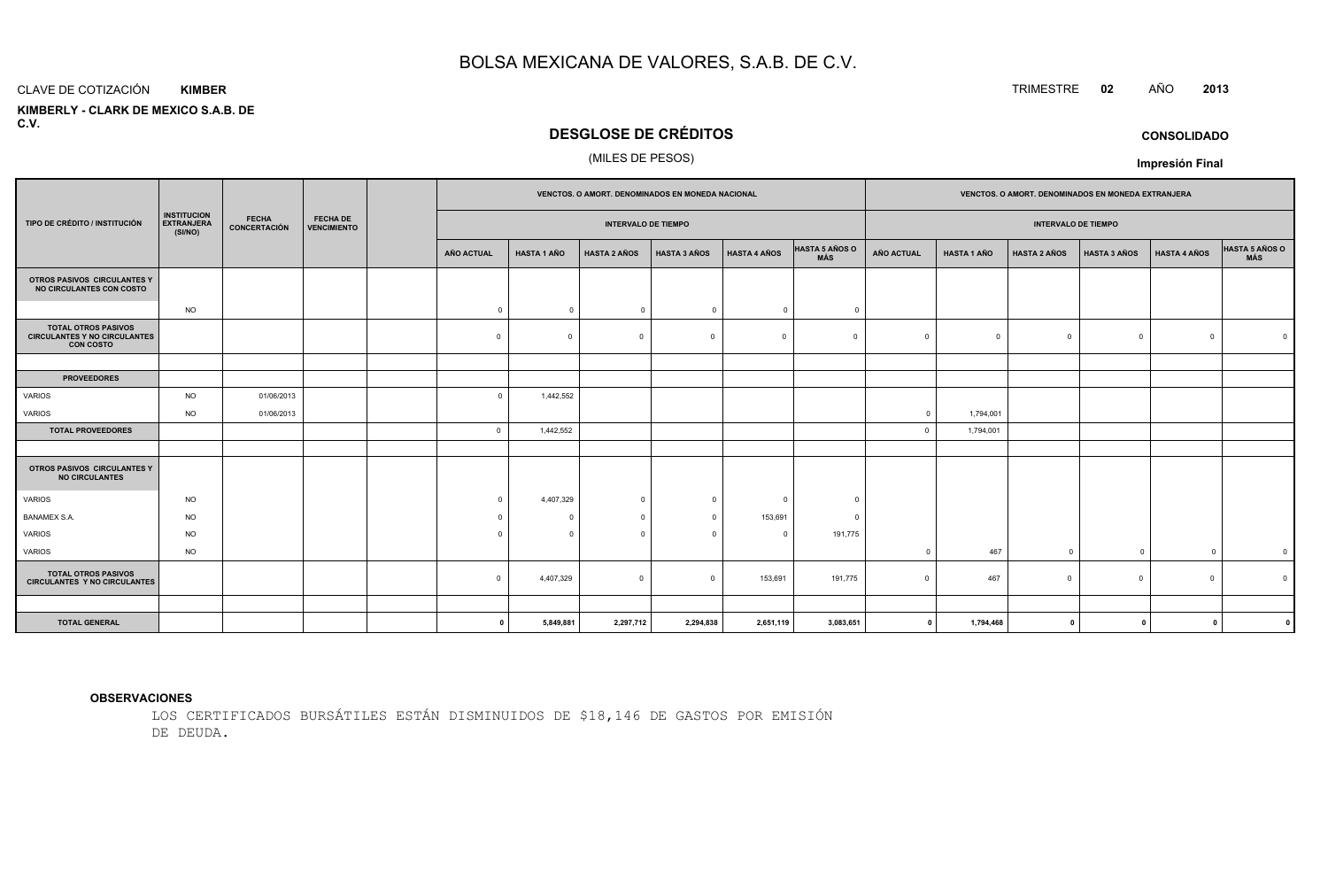#### CLAVE DE COTIZACIÓN**KIMBER**

 **KIMBERLY - CLARK DE MEXICO S.A.B. DEC.V.**

### **DESGLOSE DE CRÉDITOS**

### (MILES DE PESOS)

|                                                                                       |                                                    |                              |                                       |  | <b>VENCTOS, O AMORT, DENOMINADOS EN MONEDA NACIONAL</b> |                    |                          |                     |                     | <b>VENCTOS, O AMORT, DENOMINADOS EN MONEDA EXTRANJERA</b> |                   |                    |                     |                     |                     |                              |
|---------------------------------------------------------------------------------------|----------------------------------------------------|------------------------------|---------------------------------------|--|---------------------------------------------------------|--------------------|--------------------------|---------------------|---------------------|-----------------------------------------------------------|-------------------|--------------------|---------------------|---------------------|---------------------|------------------------------|
| TIPO DE CRÉDITO / INSTITUCIÓN                                                         | <b>INSTITUCION</b><br><b>EXTRANJERA</b><br>(SI/NO) | <b>FECHA</b><br>CONCERTACIÓN | <b>FECHA DE</b><br><b>VENCIMIENTO</b> |  | <b>INTERVALO DE TIEMPO</b>                              |                    |                          |                     |                     | <b>INTERVALO DE TIEMPO</b>                                |                   |                    |                     |                     |                     |                              |
|                                                                                       |                                                    |                              |                                       |  | AÑO ACTUAL                                              | <b>HASTA 1 AÑO</b> | <b>HASTA 2 AÑOS</b>      | <b>HASTA 3 AÑOS</b> | <b>HASTA 4 AÑOS</b> | <b>HASTA 5 AÑOS O</b><br>MÁS                              | <b>AÑO ACTUAL</b> | <b>HASTA 1 AÑO</b> | <b>HASTA 2 AÑOS</b> | <b>HASTA 3 AÑOS</b> | <b>HASTA 4 AÑOS</b> | <b>HASTA 5 AÑOS O</b><br>MÁS |
| OTROS PASIVOS CIRCULANTES Y<br>NO CIRCULANTES CON COSTO                               |                                                    |                              |                                       |  |                                                         |                    |                          |                     |                     |                                                           |                   |                    |                     |                     |                     |                              |
|                                                                                       | <b>NO</b>                                          |                              |                                       |  | $\mathbf 0$                                             | $\mathsf 0$        | $\overline{\phantom{0}}$ | $\Omega$            | $\overline{0}$      | $^{\circ}$                                                |                   |                    |                     |                     |                     |                              |
| <b>TOTAL OTROS PASIVOS</b><br><b>CIRCULANTES Y NO CIRCULANTES</b><br><b>CON COSTO</b> |                                                    |                              |                                       |  | $\Omega$                                                | $\Omega$           | $\overline{0}$           |                     | $\Omega$            |                                                           | $\mathbf 0$       | $\Omega$           | $\Omega$            | $\Omega$            | $\Omega$            |                              |
|                                                                                       |                                                    |                              |                                       |  |                                                         |                    |                          |                     |                     |                                                           |                   |                    |                     |                     |                     |                              |
| <b>PROVEEDORES</b>                                                                    |                                                    |                              |                                       |  |                                                         |                    |                          |                     |                     |                                                           |                   |                    |                     |                     |                     |                              |
| VARIOS                                                                                | <b>NO</b>                                          | 01/06/2013                   |                                       |  | $\Omega$                                                | 1,442,552          |                          |                     |                     |                                                           |                   |                    |                     |                     |                     |                              |
| VARIOS                                                                                | <b>NO</b>                                          | 01/06/2013                   |                                       |  |                                                         |                    |                          |                     |                     |                                                           | $\overline{0}$    | 1,794,001          |                     |                     |                     |                              |
| <b>TOTAL PROVEEDORES</b>                                                              |                                                    |                              |                                       |  | $\Omega$                                                | 1,442,552          |                          |                     |                     |                                                           | $\Omega$          | 1,794,001          |                     |                     |                     |                              |
|                                                                                       |                                                    |                              |                                       |  |                                                         |                    |                          |                     |                     |                                                           |                   |                    |                     |                     |                     |                              |
| OTROS PASIVOS CIRCULANTES Y<br><b>NO CIRCULANTES</b>                                  |                                                    |                              |                                       |  |                                                         |                    |                          |                     |                     |                                                           |                   |                    |                     |                     |                     |                              |
| <b>VARIOS</b>                                                                         | <b>NO</b>                                          |                              |                                       |  | $\Omega$                                                | 4,407,329          | $\overline{0}$           |                     | $\sqrt{ }$          | $\Omega$                                                  |                   |                    |                     |                     |                     |                              |
| <b>BANAMEX S.A.</b>                                                                   | <b>NO</b>                                          |                              |                                       |  | $\Omega$                                                | $\Omega$           | $\overline{0}$           |                     | 153,691             | $\Omega$                                                  |                   |                    |                     |                     |                     |                              |
| <b>VARIOS</b>                                                                         | <b>NO</b>                                          |                              |                                       |  | $\Omega$                                                | $\Omega$           | $\Omega$                 |                     | $\Omega$            | 191,775                                                   |                   |                    |                     |                     |                     |                              |
| VARIOS                                                                                | <b>NO</b>                                          |                              |                                       |  |                                                         |                    |                          |                     |                     |                                                           | $\overline{0}$    | 467                | $^{\circ}$          | $\mathbf 0$         | $\mathbf{0}$        | $\mathbf{C}$                 |
| <b>TOTAL OTROS PASIVOS</b><br><b>CIRCULANTES Y NO CIRCULANTES</b>                     |                                                    |                              |                                       |  | $\Omega$                                                | 4,407,329          | $\overline{0}$           | $\Omega$            | 153,691             | 191,775                                                   | $^{\circ}$        | 467                | $\mathbf 0$         | $\Omega$            | $\circ$             |                              |
|                                                                                       |                                                    |                              |                                       |  |                                                         |                    |                          |                     |                     |                                                           |                   |                    |                     |                     |                     |                              |

**<sup>0</sup> 5,849,881 2,297,712 2,294,838 2,651,119 3,083,651 <sup>0</sup> 1,794,468 <sup>0</sup> <sup>0</sup> <sup>0</sup> <sup>0</sup>**

### **OBSERVACIONES**

**TOTAL GENERAL**

LOS CERTIFICADOS BURSÁTILES ESTÁN DISMINUIDOS DE \$18,146 DE GASTOS POR EMISIÓNDE DEUDA.

### TRIMESTRE **<sup>02</sup>** AÑO **<sup>2013</sup>**

**CONSOLIDADO**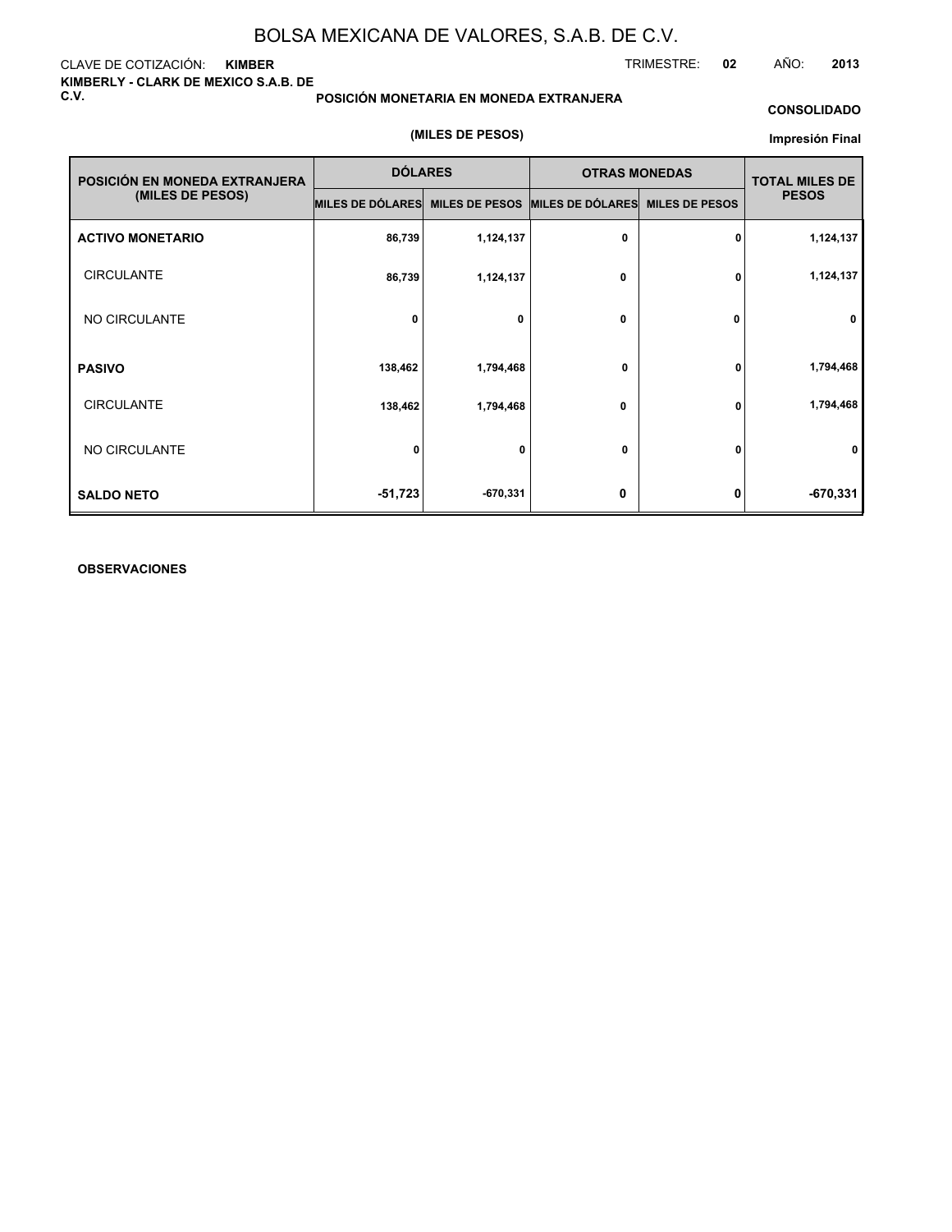CLAVE DE COTIZACIÓN: **KIMBER KIMBERLY - CLARK DE MEXICO S.A.B. DE C.V.**

**POSICIÓN MONETARIA EN MONEDA EXTRANJERA**

#### **CONSOLIDADO**

TRIMESTRE: **02** AÑO: **2013**

#### **(MILES DE PESOS)**

#### **Impresión Final**

| POSICIÓN EN MONEDA EXTRANJERA | <b>DÓLARES</b>                                   |            | <b>OTRAS MONEDAS</b> |                       | <b>TOTAL MILES DE</b> |  |
|-------------------------------|--------------------------------------------------|------------|----------------------|-----------------------|-----------------------|--|
| (MILES DE PESOS)              | MILES DE DÓLARES MILES DE PESOS MILES DE DÓLARES |            |                      | <b>MILES DE PESOS</b> | <b>PESOS</b>          |  |
| <b>ACTIVO MONETARIO</b>       | 86,739                                           | 1,124,137  | 0                    | 0                     | 1,124,137             |  |
| <b>CIRCULANTE</b>             | 86,739                                           | 1,124,137  | 0                    | 0                     | 1,124,137             |  |
| NO CIRCULANTE                 | 0                                                | 0          | 0                    | $\Omega$              | 0                     |  |
| <b>PASIVO</b>                 | 138,462                                          | 1,794,468  | 0                    | 0                     | 1,794,468             |  |
| <b>CIRCULANTE</b>             | 138,462                                          | 1,794,468  | 0                    | 0                     | 1,794,468             |  |
| NO CIRCULANTE                 | $\mathbf{0}$                                     | 0          | 0                    | 0                     | 0                     |  |
| <b>SALDO NETO</b>             | $-51,723$                                        | $-670,331$ | 0                    | 0                     | $-670,331$            |  |

### **OBSERVACIONES**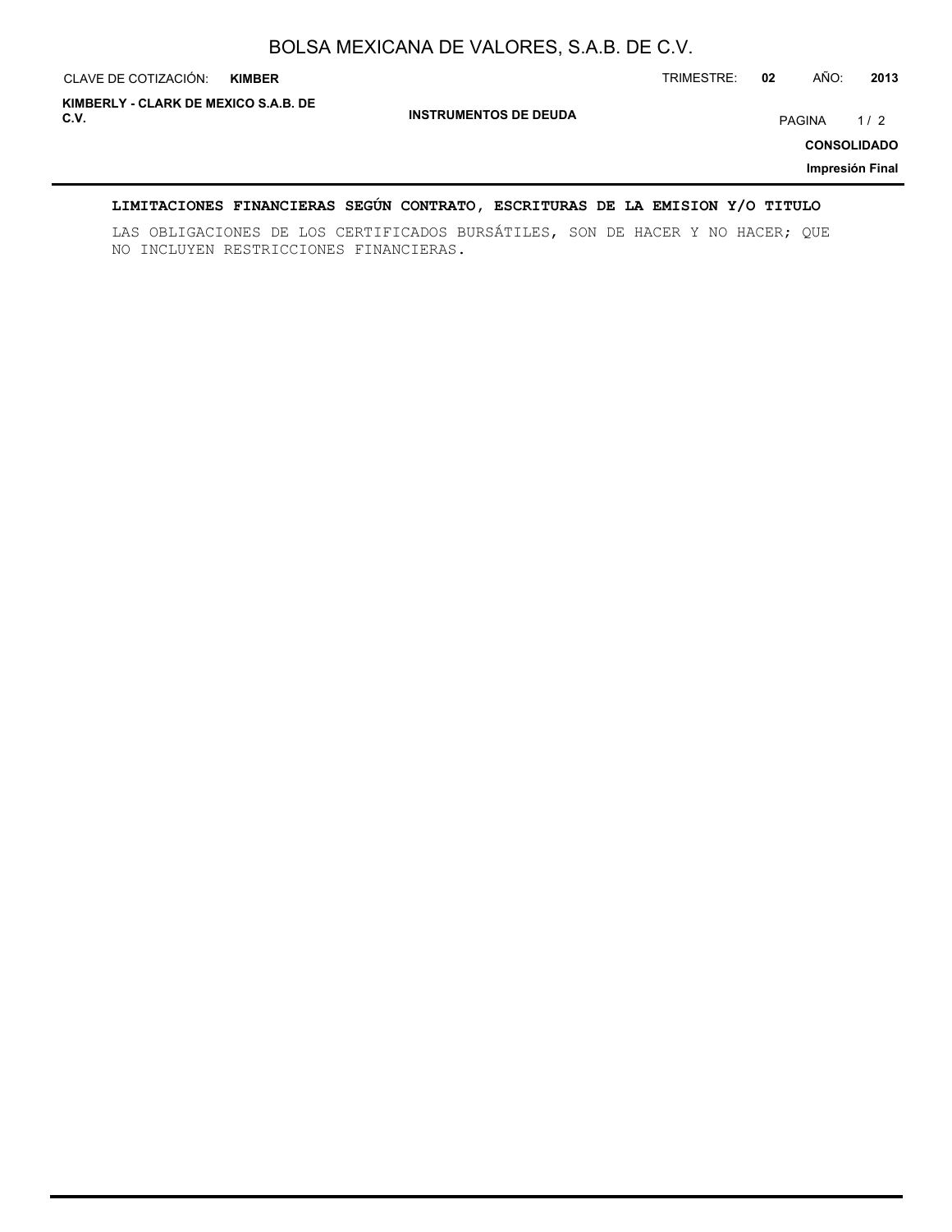| CLAVE DE COTIZACIÓN:                         | <b>KIMBER</b> |                              | TRIMESTRE: | 02 | AÑO:   | 2013                                         |
|----------------------------------------------|---------------|------------------------------|------------|----|--------|----------------------------------------------|
| KIMBERLY - CLARK DE MEXICO S.A.B. DE<br>C.V. |               | <b>INSTRUMENTOS DE DEUDA</b> |            |    | PAGINA | 1/2<br><b>CONSOLIDADO</b><br>Impresión Final |

### **LIMITACIONES FINANCIERAS SEGÚN CONTRATO, ESCRITURAS DE LA EMISION Y/O TITULO**

LAS OBLIGACIONES DE LOS CERTIFICADOS BURSÁTILES, SON DE HACER Y NO HACER; QUE NO INCLUYEN RESTRICCIONES FINANCIERAS.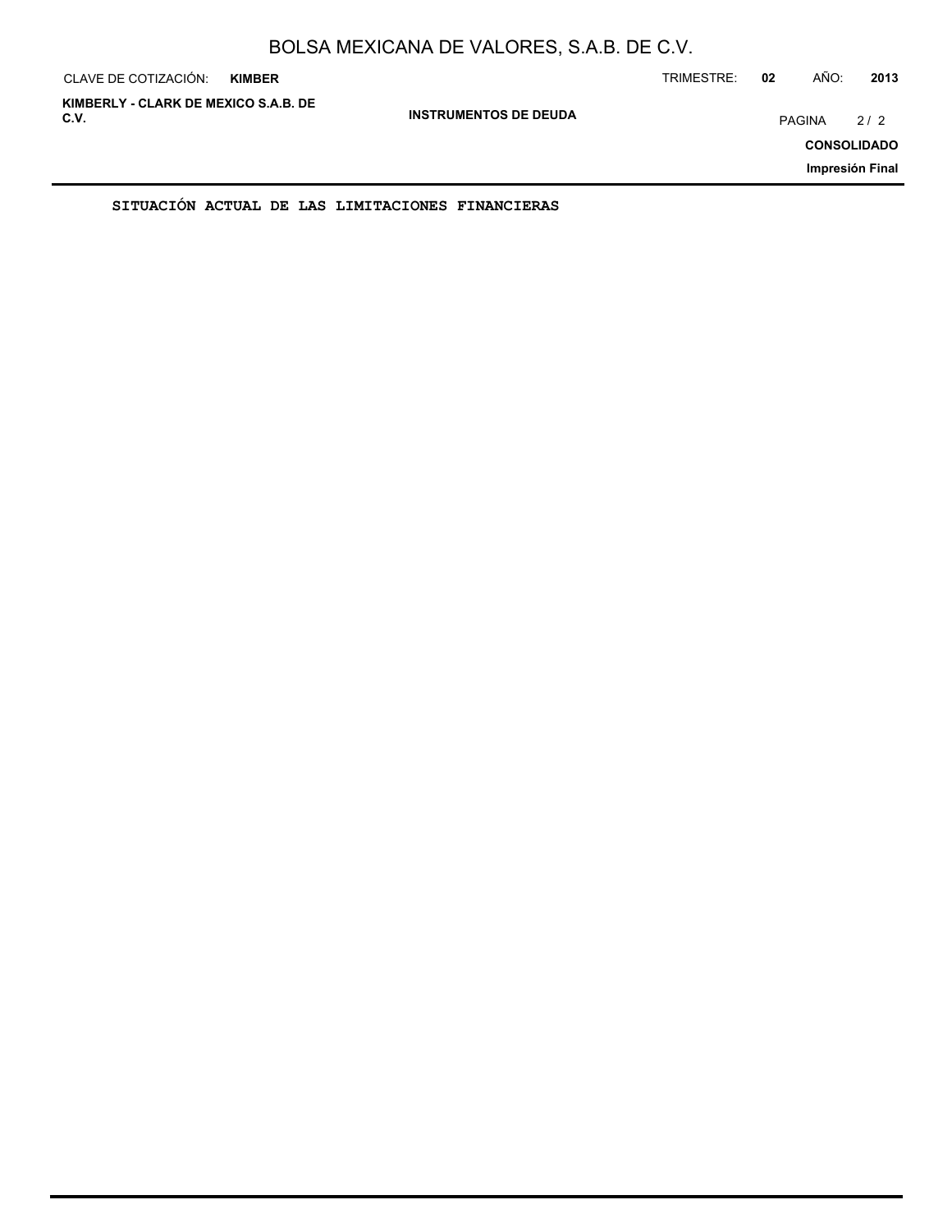| CLAVE DE COTIZACIÓN:                         | <b>KIMBER</b> |                              | TRIMESTRE: | 02 | AÑO:   | 2013                                         |
|----------------------------------------------|---------------|------------------------------|------------|----|--------|----------------------------------------------|
| KIMBERLY - CLARK DE MEXICO S.A.B. DE<br>C.V. |               | <b>INSTRUMENTOS DE DEUDA</b> |            |    | PAGINA | 2/2<br><b>CONSOLIDADO</b><br>Impresión Final |
|                                              |               |                              |            |    |        |                                              |

**SITUACIÓN ACTUAL DE LAS LIMITACIONES FINANCIERAS**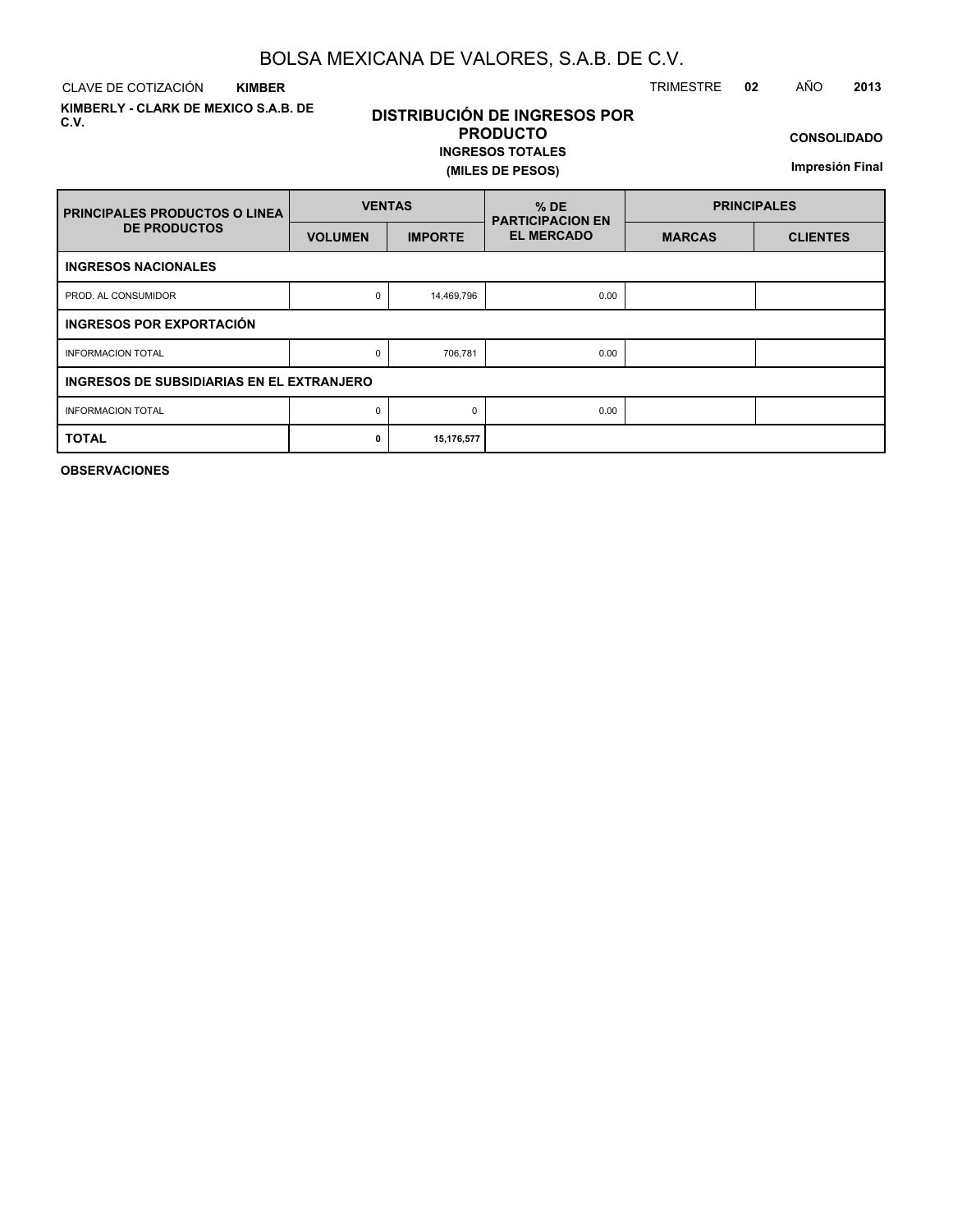CLAVE DE COTIZACIÓN TRIMESTRE **02** AÑO **2013 KIMBER**

**KIMBERLY - CLARK DE MEXICO S.A.B. DE C.V.**

### **DISTRIBUCIÓN DE INGRESOS POR PRODUCTO**

### **INGRESOS TOTALES (MILES DE PESOS)**

**CONSOLIDADO**

**Impresión Final**

| <b>PRINCIPALES PRODUCTOS O LINEA</b>      | <b>VENTAS</b>  |                | $%$ DE<br><b>PARTICIPACION EN</b> | <b>PRINCIPALES</b> |                 |  |  |  |  |  |
|-------------------------------------------|----------------|----------------|-----------------------------------|--------------------|-----------------|--|--|--|--|--|
| <b>DE PRODUCTOS</b>                       | <b>VOLUMEN</b> | <b>IMPORTE</b> | <b>EL MERCADO</b>                 | <b>MARCAS</b>      | <b>CLIENTES</b> |  |  |  |  |  |
| <b>INGRESOS NACIONALES</b>                |                |                |                                   |                    |                 |  |  |  |  |  |
| PROD. AL CONSUMIDOR                       |                | 14,469,796     | 0.00                              |                    |                 |  |  |  |  |  |
| INGRESOS POR EXPORTACIÓN                  |                |                |                                   |                    |                 |  |  |  |  |  |
| <b>INFORMACION TOTAL</b>                  | 0              | 706,781        | 0.00                              |                    |                 |  |  |  |  |  |
| INGRESOS DE SUBSIDIARIAS EN EL EXTRANJERO |                |                |                                   |                    |                 |  |  |  |  |  |
| <b>INFORMACION TOTAL</b>                  | 0              | $\Omega$       | 0.00                              |                    |                 |  |  |  |  |  |
| <b>TOTAL</b>                              | 0              | 15,176,577     |                                   |                    |                 |  |  |  |  |  |

**OBSERVACIONES**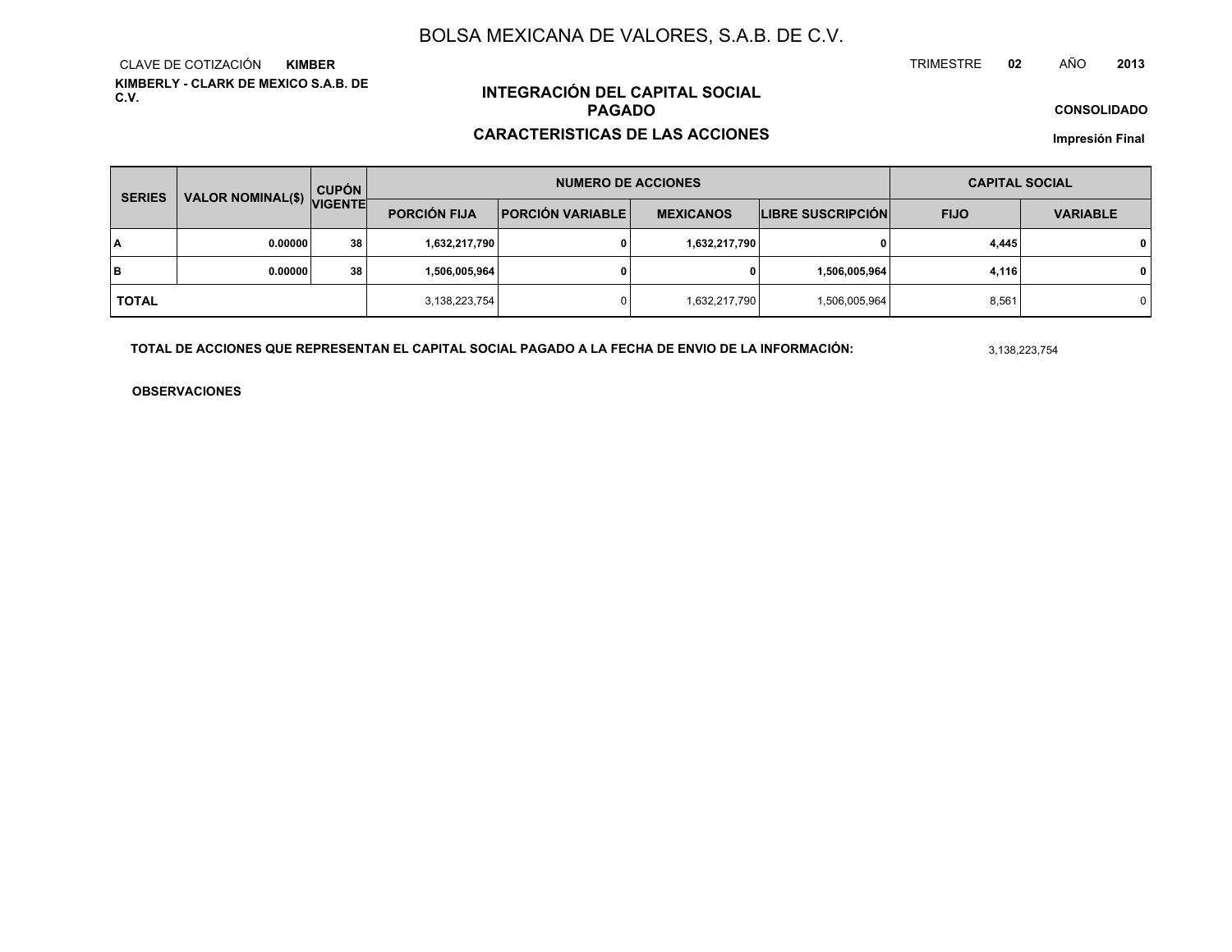**KIMBERLY - CLARK DE MEXICO S.A.B. DE C.V.**CLAVE DE COTIZACIÓN**KIMBER**

### **INTEGRACIÓN DEL CAPITAL SOCIALPAGADO**

#### **CARACTERISTICAS DE LAS ACCIONES**

**CONSOLIDADO**

**Impresión Final**

| <b>SERIES</b> |                           | <b>CUPÓN</b>  |                                                                    | <b>NUMERO DE ACCIONES</b> | <b>CAPITAL SOCIAL</b> |                   |             |                 |  |
|---------------|---------------------------|---------------|--------------------------------------------------------------------|---------------------------|-----------------------|-------------------|-------------|-----------------|--|
|               | VALOR NOMINAL(\$) VIGENTE |               | <b>PORCIÓN FIJA</b><br><b>PORCIÓN VARIABLE</b><br><b>MEXICANOS</b> |                           |                       | LIBRE SUSCRIPCIÓN | <b>FIJO</b> | <b>VARIABLE</b> |  |
| lΑ            | 0.00000                   | 38            | 1,632,217,790                                                      |                           | 1,632,217,790         | 0                 | 4,445       | $\mathbf{0}$    |  |
| lв            | 0.00000                   | 38            | 1,506,005,964                                                      |                           | 0                     | 1,506,005,964     | 4,116       | $\mathbf{0}$    |  |
| <b>TOTAL</b>  |                           | 3,138,223,754 |                                                                    | 1,632,217,790             | 1,506,005,964         | 8,561             | 0           |                 |  |

**TOTAL DE ACCIONES QUE REPRESENTAN EL CAPITAL SOCIAL PAGADO A LA FECHA DE ENVIO DE LA INFORMACIÓN:**

3,138,223,754

TRIMESTRE

**OBSERVACIONES**

 **<sup>02</sup>** AÑO**<sup>2013</sup>**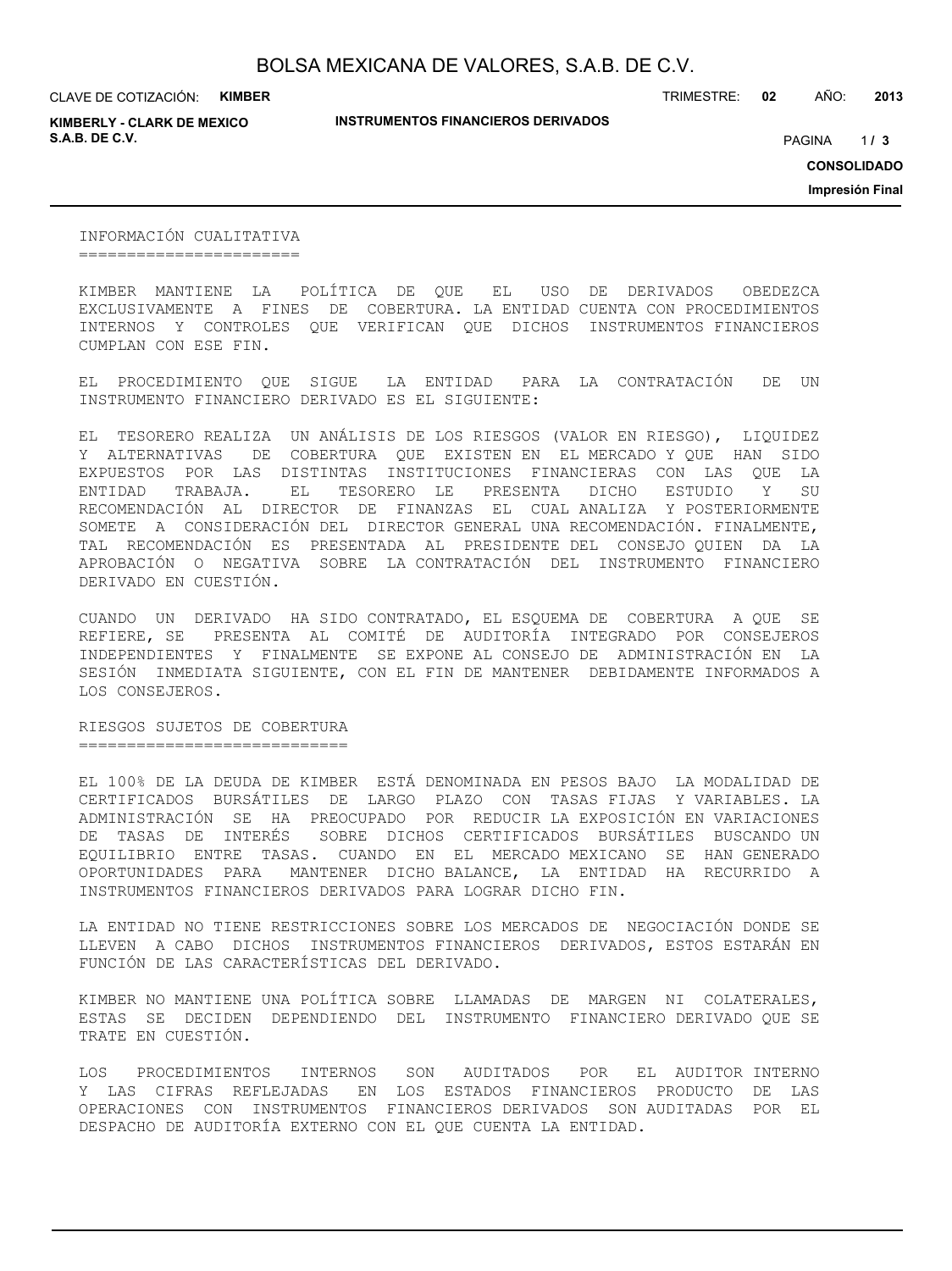CLAVE DE COTIZACIÓN: **KIMBER**

**KIMBERLY - CLARK DE MEXICO S.A.B. DE C.V.** PAGINA **/ 3**

**INSTRUMENTOS FINANCIEROS DERIVADOS**

TRIMESTRE: **02** AÑO: **2013**

 $1/3$ 

**CONSOLIDADO**

**Impresión Final**

INFORMACIÓN CUALITATIVA =======================

KIMBER MANTIENE LA POLÍTICA DE QUE EL USO DE DERIVADOS OBEDEZCA EXCLUSIVAMENTE A FINES DE COBERTURA. LA ENTIDAD CUENTA CON PROCEDIMIENTOS INTERNOS Y CONTROLES QUE VERIFICAN QUE DICHOS INSTRUMENTOS FINANCIEROS CUMPLAN CON ESE FIN.

EL PROCEDIMIENTO QUE SIGUE LA ENTIDAD PARA LA CONTRATACIÓN DE UN INSTRUMENTO FINANCIERO DERIVADO ES EL SIGUIENTE:

EL TESORERO REALIZA UN ANÁLISIS DE LOS RIESGOS (VALOR EN RIESGO), LIQUIDEZ Y ALTERNATIVAS DE COBERTURA QUE EXISTEN EN EL MERCADO Y QUE HAN SIDO EXPUESTOS POR LAS DISTINTAS INSTITUCIONES FINANCIERAS CON LAS QUE LA ENTIDAD TRABAJA. EL TESORERO LE PRESENTA DICHO ESTUDIO Y SU RECOMENDACIÓN AL DIRECTOR DE FINANZAS EL CUAL ANALIZA Y POSTERIORMENTE SOMETE A CONSIDERACIÓN DEL DIRECTOR GENERAL UNA RECOMENDACIÓN. FINALMENTE, TAL RECOMENDACIÓN ES PRESENTADA AL PRESIDENTE DEL CONSEJO QUIEN DA LA APROBACIÓN O NEGATIVA SOBRE LA CONTRATACIÓN DEL INSTRUMENTO FINANCIERO DERIVADO EN CUESTIÓN.

CUANDO UN DERIVADO HA SIDO CONTRATADO, EL ESQUEMA DE COBERTURA A QUE SE REFIERE, SE PRESENTA AL COMITÉ DE AUDITORÍA INTEGRADO POR CONSEJEROS INDEPENDIENTES Y FINALMENTE SE EXPONE AL CONSEJO DE ADMINISTRACIÓN EN LA SESIÓN INMEDIATA SIGUIENTE, CON EL FIN DE MANTENER DEBIDAMENTE INFORMADOS A LOS CONSEJEROS.

RIESGOS SUJETOS DE COBERTURA ============================

EL 100% DE LA DEUDA DE KIMBER ESTÁ DENOMINADA EN PESOS BAJO LA MODALIDAD DE CERTIFICADOS BURSÁTILES DE LARGO PLAZO CON TASAS FIJAS Y VARIABLES. LA ADMINISTRACIÓN SE HA PREOCUPADO POR REDUCIR LA EXPOSICIÓN EN VARIACIONES DE TASAS DE INTERÉS SOBRE DICHOS CERTIFICADOS BURSÁTILES BUSCANDO UN EQUILIBRIO ENTRE TASAS. CUANDO EN EL MERCADO MEXICANO SE HAN GENERADO OPORTUNIDADES PARA MANTENER DICHO BALANCE, LA ENTIDAD HA RECURRIDO A INSTRUMENTOS FINANCIEROS DERIVADOS PARA LOGRAR DICHO FIN.

LA ENTIDAD NO TIENE RESTRICCIONES SOBRE LOS MERCADOS DE NEGOCIACIÓN DONDE SE LLEVEN A CABO DICHOS INSTRUMENTOS FINANCIEROS DERIVADOS, ESTOS ESTARÁN EN FUNCIÓN DE LAS CARACTERÍSTICAS DEL DERIVADO.

KIMBER NO MANTIENE UNA POLÍTICA SOBRE LLAMADAS DE MARGEN NI COLATERALES, ESTAS SE DECIDEN DEPENDIENDO DEL INSTRUMENTO FINANCIERO DERIVADO QUE SE TRATE EN CUESTIÓN.

LOS PROCEDIMIENTOS INTERNOS SON AUDITADOS POR EL AUDITOR INTERNO Y LAS CIFRAS REFLEJADAS EN LOS ESTADOS FINANCIEROS PRODUCTO DE LAS OPERACIONES CON INSTRUMENTOS FINANCIEROS DERIVADOS SON AUDITADAS POR EL DESPACHO DE AUDITORÍA EXTERNO CON EL QUE CUENTA LA ENTIDAD.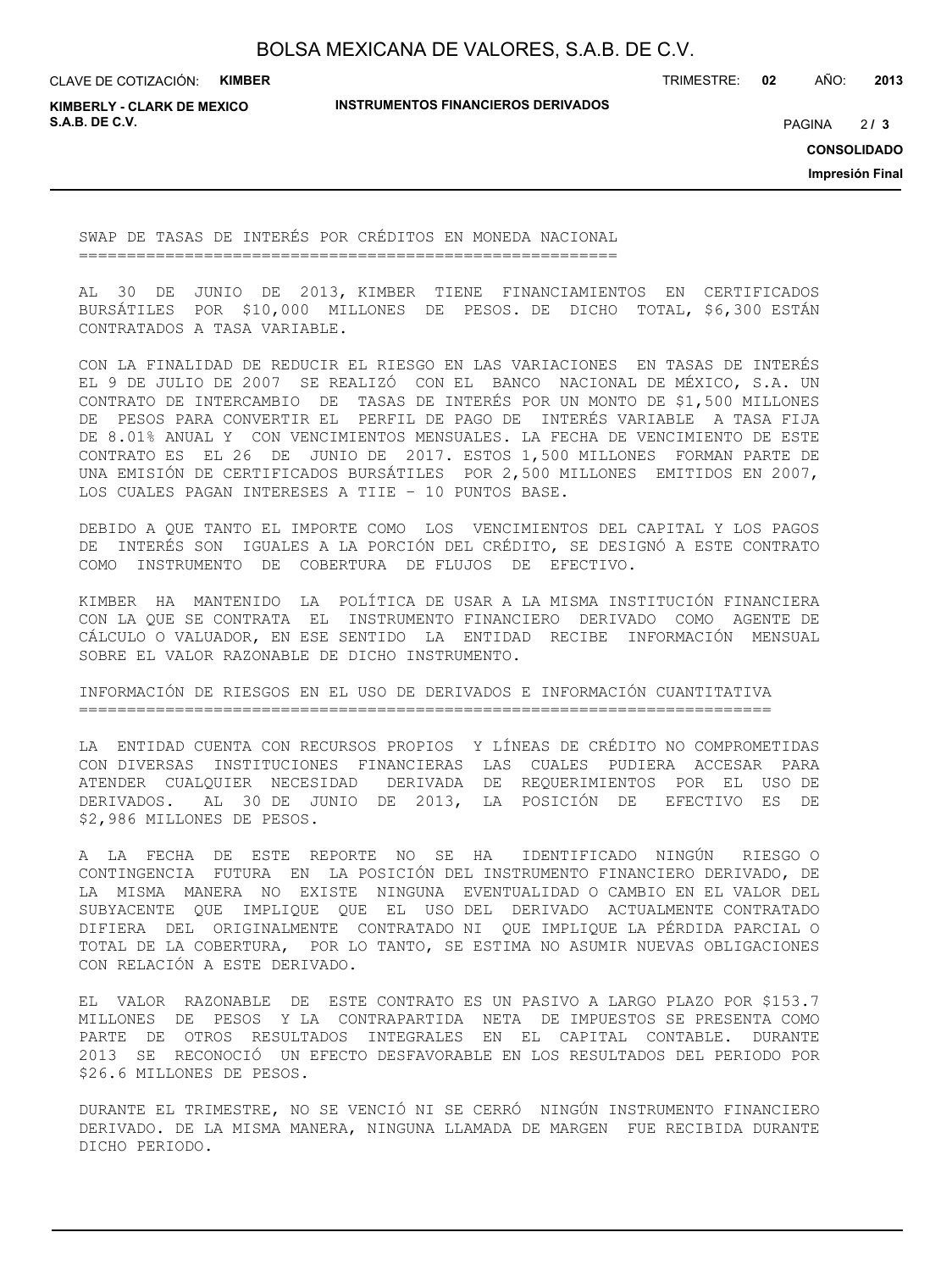CLAVE DE COTIZACIÓN: **KIMBER**

TRIMESTRE: **02** AÑO: **2013**

**KIMBERLY - CLARK DE MEXICO S.A.B. DE C.V.** PAGINA **/ 3**

**INSTRUMENTOS FINANCIEROS DERIVADOS**

 $213$ 

**CONSOLIDADO**

**Impresión Final**

SWAP DE TASAS DE INTERÉS POR CRÉDITOS EN MONEDA NACIONAL ========================================================

AL 30 DE JUNIO DE 2013, KIMBER TIENE FINANCIAMIENTOS EN CERTIFICADOS BURSÁTILES POR \$10,000 MILLONES DE PESOS. DE DICHO TOTAL, \$6,300 ESTÁN CONTRATADOS A TASA VARIABLE.

CON LA FINALIDAD DE REDUCIR EL RIESGO EN LAS VARIACIONES EN TASAS DE INTERÉS EL 9 DE JULIO DE 2007 SE REALIZÓ CON EL BANCO NACIONAL DE MÉXICO, S.A. UN CONTRATO DE INTERCAMBIO DE TASAS DE INTERÉS POR UN MONTO DE \$1,500 MILLONES DE PESOS PARA CONVERTIR EL PERFIL DE PAGO DE INTERÉS VARIABLE A TASA FIJA DE 8.01% ANUAL Y CON VENCIMIENTOS MENSUALES. LA FECHA DE VENCIMIENTO DE ESTE CONTRATO ES EL 26 DE JUNIO DE 2017. ESTOS 1,500 MILLONES FORMAN PARTE DE UNA EMISIÓN DE CERTIFICADOS BURSÁTILES POR 2,500 MILLONES EMITIDOS EN 2007, LOS CUALES PAGAN INTERESES A TIIE – 10 PUNTOS BASE.

DEBIDO A QUE TANTO EL IMPORTE COMO LOS VENCIMIENTOS DEL CAPITAL Y LOS PAGOS DE INTERÉS SON IGUALES A LA PORCIÓN DEL CRÉDITO, SE DESIGNÓ A ESTE CONTRATO COMO INSTRUMENTO DE COBERTURA DE FLUJOS DE EFECTIVO.

KIMBER HA MANTENIDO LA POLÍTICA DE USAR A LA MISMA INSTITUCIÓN FINANCIERA CON LA QUE SE CONTRATA EL INSTRUMENTO FINANCIERO DERIVADO COMO AGENTE DE CÁLCULO O VALUADOR, EN ESE SENTIDO LA ENTIDAD RECIBE INFORMACIÓN MENSUAL SOBRE EL VALOR RAZONABLE DE DICHO INSTRUMENTO.

INFORMACIÓN DE RIESGOS EN EL USO DE DERIVADOS E INFORMACIÓN CUANTITATIVA ========================================================================

LA ENTIDAD CUENTA CON RECURSOS PROPIOS Y LÍNEAS DE CRÉDITO NO COMPROMETIDAS CON DIVERSAS INSTITUCIONES FINANCIERAS LAS CUALES PUDIERA ACCESAR PARA ATENDER CUALQUIER NECESIDAD DERIVADA DE REQUERIMIENTOS POR EL USO DE DERIVADOS. AL 30 DE JUNIO DE 2013, LA POSICIÓN DE EFECTIVO ES DE \$2,986 MILLONES DE PESOS.

A LA FECHA DE ESTE REPORTE NO SE HA IDENTIFICADO NINGÚN RIESGO O CONTINGENCIA FUTURA EN LA POSICIÓN DEL INSTRUMENTO FINANCIERO DERIVADO, DE LA MISMA MANERA NO EXISTE NINGUNA EVENTUALIDAD O CAMBIO EN EL VALOR DEL SUBYACENTE QUE IMPLIQUE QUE EL USO DEL DERIVADO ACTUALMENTE CONTRATADO DIFIERA DEL ORIGINALMENTE CONTRATADO NI QUE IMPLIQUE LA PÉRDIDA PARCIAL O TOTAL DE LA COBERTURA, POR LO TANTO, SE ESTIMA NO ASUMIR NUEVAS OBLIGACIONES CON RELACIÓN A ESTE DERIVADO.

EL VALOR RAZONABLE DE ESTE CONTRATO ES UN PASIVO A LARGO PLAZO POR \$153.7 MILLONES DE PESOS Y LA CONTRAPARTIDA NETA DE IMPUESTOS SE PRESENTA COMO PARTE DE OTROS RESULTADOS INTEGRALES EN EL CAPITAL CONTABLE. DURANTE 2013 SE RECONOCIÓ UN EFECTO DESFAVORABLE EN LOS RESULTADOS DEL PERIODO POR \$26.6 MILLONES DE PESOS.

DURANTE EL TRIMESTRE, NO SE VENCIÓ NI SE CERRÓ NINGÚN INSTRUMENTO FINANCIERO DERIVADO. DE LA MISMA MANERA, NINGUNA LLAMADA DE MARGEN FUE RECIBIDA DURANTE DICHO PERIODO.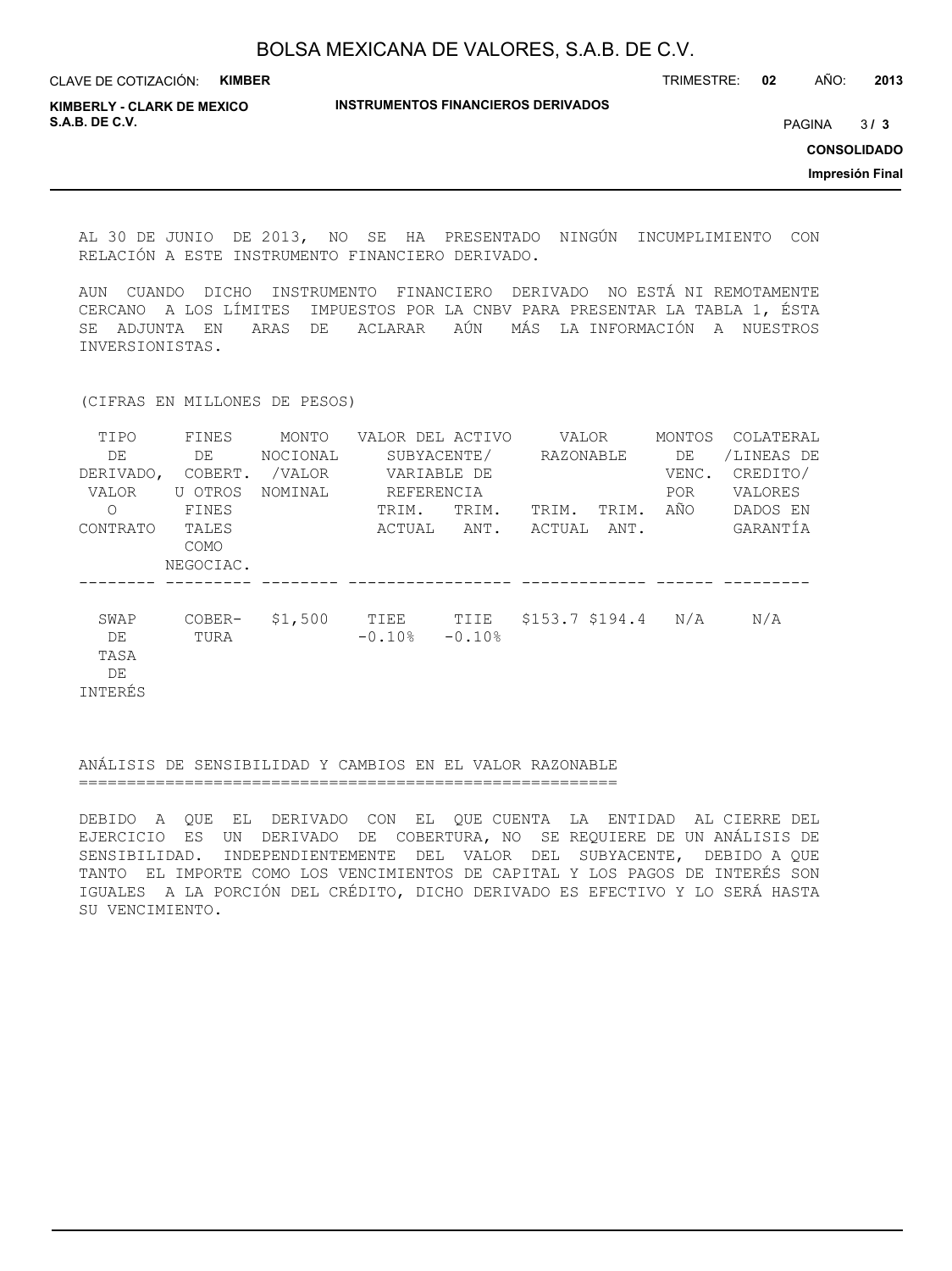| CLAVE DE COTIZACIÓN:                                | <b>KIMBER</b> |                                           | TRIMESTRE: | 02 | AÑO:          | 2013               |
|-----------------------------------------------------|---------------|-------------------------------------------|------------|----|---------------|--------------------|
| <b>KIMBERLY - CLARK DE MEXICO</b><br>S.A.B. DE C.V. |               | <b>INSTRUMENTOS FINANCIEROS DERIVADOS</b> |            |    | <b>PAGINA</b> | 3/3                |
|                                                     |               |                                           |            |    |               | <b>CONSOLIDADO</b> |
|                                                     |               |                                           |            |    |               | Impresión Final    |
|                                                     |               |                                           |            |    |               |                    |

AL 30 DE JUNIO DE 2013, NO SE HA PRESENTADO NINGÚN INCUMPLIMIENTO CON RELACIÓN A ESTE INSTRUMENTO FINANCIERO DERIVADO.

AUN CUANDO DICHO INSTRUMENTO FINANCIERO DERIVADO NO ESTÁ NI REMOTAMENTE CERCANO A LOS LÍMITES IMPUESTOS POR LA CNBV PARA PRESENTAR LA TABLA 1, ÉSTA SE ADJUNTA EN ARAS DE ACLARAR AÚN MÁS LA INFORMACIÓN A NUESTROS INVERSIONISTAS.

(CIFRAS EN MILLONES DE PESOS)

| TIPO      | FINES       | MONTO    | VALOR DEL ACTIVO |          |                   | VALOR     |            | COLATERAL  |
|-----------|-------------|----------|------------------|----------|-------------------|-----------|------------|------------|
| DE        | DE          | NOCIONAL | SUBYACENTE/      |          |                   | RAZONABLE |            | /LINEAS DE |
| DERIVADO, | COBERT.     | /VALOR   | VARIABLE DE      |          |                   |           |            | CREDITO/   |
| VALOR     | U OTROS     | NOMINAL  | REFERENCIA       |          |                   |           | <b>POR</b> | VALORES    |
| Ω         | FINES       |          | TRIM.            | TRIM.    | TRIM.             | TRIM.     | AÑO        | DADOS EN   |
| CONTRATO  | TALES       |          | ACTUAL           | ANT.     | ACTUAL            | ANT.      |            | GARANTIA   |
|           | <b>COMO</b> |          |                  |          |                   |           |            |            |
|           | NEGOCIAC.   |          |                  |          |                   |           |            |            |
|           |             |          |                  |          |                   |           |            |            |
| SWAP      | COBER-      | \$1,500  | TIEE             | TIIE     | $$153.7$ $$194.4$ |           | N/A        | N/A        |
| DE        | TURA        |          | $-0.10%$         | $-0.10%$ |                   |           |            |            |
| TASA      |             |          |                  |          |                   |           |            |            |
| DE        |             |          |                  |          |                   |           |            |            |
| INTERÉS   |             |          |                  |          |                   |           |            |            |

#### ANÁLISIS DE SENSIBILIDAD Y CAMBIOS EN EL VALOR RAZONABLE ========================================================

DEBIDO A QUE EL DERIVADO CON EL QUE CUENTA LA ENTIDAD AL CIERRE DEL EJERCICIO ES UN DERIVADO DE COBERTURA, NO SE REQUIERE DE UN ANÁLISIS DE SENSIBILIDAD. INDEPENDIENTEMENTE DEL VALOR DEL SUBYACENTE, DEBIDO A QUE TANTO EL IMPORTE COMO LOS VENCIMIENTOS DE CAPITAL Y LOS PAGOS DE INTERÉS SON IGUALES A LA PORCIÓN DEL CRÉDITO, DICHO DERIVADO ES EFECTIVO Y LO SERÁ HASTA SU VENCIMIENTO.